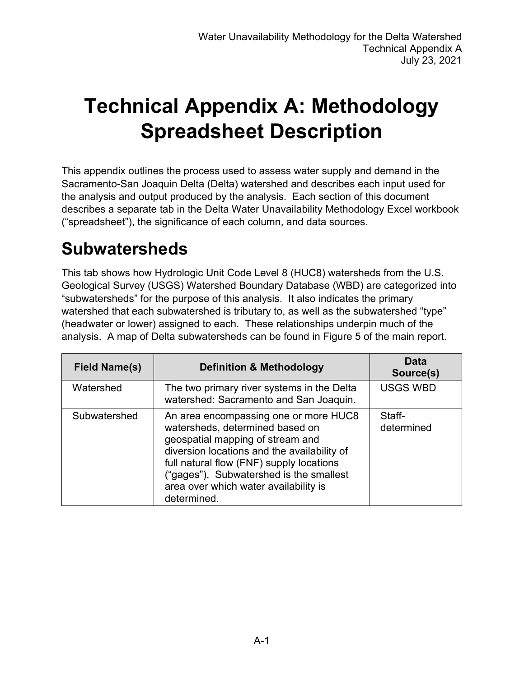# **Technical Appendix A: Methodology Spreadsheet Description**

This appendix outlines the process used to assess water supply and demand in the Sacramento-San Joaquin Delta (Delta) watershed and describes each input used for the analysis and output produced by the analysis. Each section of this document describes a separate tab in the Delta Water Unavailability Methodology Excel workbook ("spreadsheet"), the significance of each column, and data sources.

#### **Subwatersheds**

This tab shows how Hydrologic Unit Code Level 8 (HUC8) watersheds from the U.S. Geological Survey (USGS) Watershed Boundary Database (WBD) are categorized into "subwatersheds" for the purpose of this analysis. It also indicates the primary watershed that each subwatershed is tributary to, as well as the subwatershed "type" (headwater or lower) assigned to each. These relationships underpin much of the analysis. A map of Delta subwatersheds can be found in Figure 5 of the main report.

| <b>Field Name(s)</b> | <b>Definition &amp; Methodology</b>                                                                                                                                                                                                                                                                        | Data<br>Source(s)    |
|----------------------|------------------------------------------------------------------------------------------------------------------------------------------------------------------------------------------------------------------------------------------------------------------------------------------------------------|----------------------|
| Watershed            | The two primary river systems in the Delta<br>watershed: Sacramento and San Joaquin.                                                                                                                                                                                                                       | <b>USGS WBD</b>      |
| Subwatershed         | An area encompassing one or more HUC8<br>watersheds, determined based on<br>geospatial mapping of stream and<br>diversion locations and the availability of<br>full natural flow (FNF) supply locations<br>("gages"). Subwatershed is the smallest<br>area over which water availability is<br>determined. | Staff-<br>determined |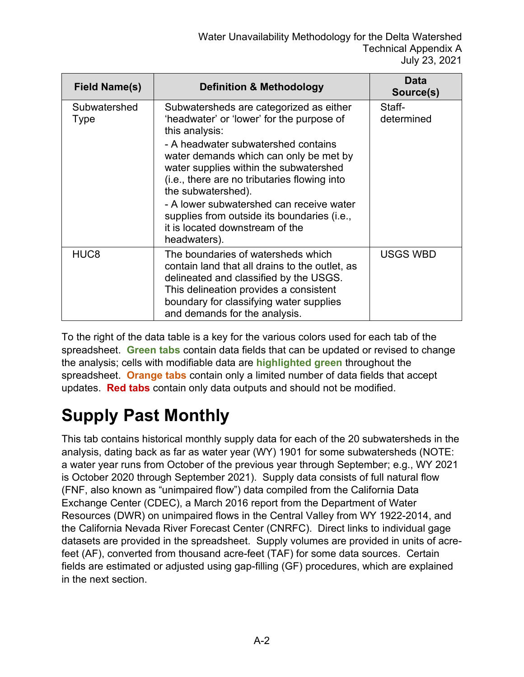| Field Name(s)               | <b>Definition &amp; Methodology</b>                                                                                                                                                                                                                                                                                                                                                                                                                   | Data<br>Source(s)    |
|-----------------------------|-------------------------------------------------------------------------------------------------------------------------------------------------------------------------------------------------------------------------------------------------------------------------------------------------------------------------------------------------------------------------------------------------------------------------------------------------------|----------------------|
| Subwatershed<br><b>Type</b> | Subwatersheds are categorized as either<br>'headwater' or 'lower' for the purpose of<br>this analysis:<br>- A headwater subwatershed contains<br>water demands which can only be met by<br>water supplies within the subwatershed<br>(i.e., there are no tributaries flowing into<br>the subwatershed).<br>- A lower subwatershed can receive water<br>supplies from outside its boundaries (i.e.,<br>it is located downstream of the<br>headwaters). | Staff-<br>determined |
| HUC <sub>8</sub>            | The boundaries of watersheds which<br>contain land that all drains to the outlet, as<br>delineated and classified by the USGS.<br>This delineation provides a consistent<br>boundary for classifying water supplies<br>and demands for the analysis.                                                                                                                                                                                                  | <b>USGS WBD</b>      |

To the right of the data table is a key for the various colors used for each tab of the spreadsheet. **Green tabs** contain data fields that can be updated or revised to change the analysis; cells with modifiable data are **highlighted green** throughout the spreadsheet. **Orange tabs** contain only a limited number of data fields that accept updates. **Red tabs** contain only data outputs and should not be modified.

# **Supply Past Monthly**

This tab contains historical monthly supply data for each of the 20 subwatersheds in the analysis, dating back as far as water year (WY) 1901 for some subwatersheds (NOTE: a water year runs from October of the previous year through September; e.g., WY 2021 is October 2020 through September 2021). Supply data consists of full natural flow (FNF, also known as "unimpaired flow") data compiled from the California Data Exchange Center (CDEC), a March 2016 report from the Department of Water Resources (DWR) on unimpaired flows in the Central Valley from WY 1922-2014, and the California Nevada River Forecast Center (CNRFC). Direct links to individual gage datasets are provided in the spreadsheet. Supply volumes are provided in units of acrefeet (AF), converted from thousand acre-feet (TAF) for some data sources. Certain fields are estimated or adjusted using gap-filling (GF) procedures, which are explained in the next section.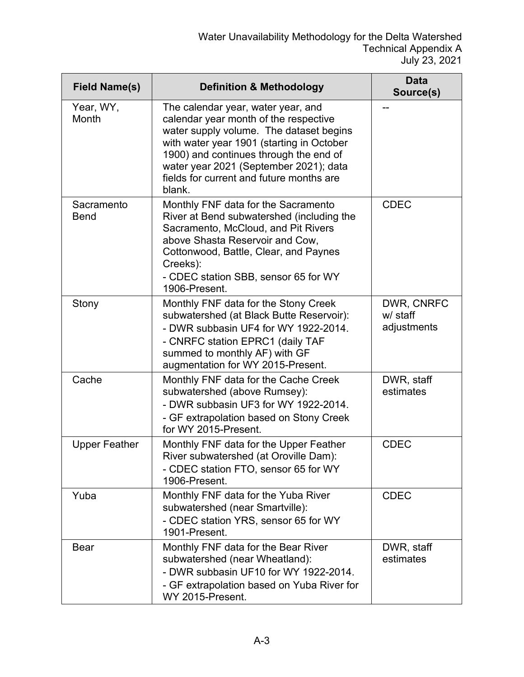| <b>Field Name(s)</b>      | <b>Definition &amp; Methodology</b>                                                                                                                                                                                                                                                                           | <b>Data</b><br>Source(s)              |
|---------------------------|---------------------------------------------------------------------------------------------------------------------------------------------------------------------------------------------------------------------------------------------------------------------------------------------------------------|---------------------------------------|
| Year, WY,<br>Month        | The calendar year, water year, and<br>calendar year month of the respective<br>water supply volume. The dataset begins<br>with water year 1901 (starting in October<br>1900) and continues through the end of<br>water year 2021 (September 2021); data<br>fields for current and future months are<br>blank. |                                       |
| Sacramento<br><b>Bend</b> | Monthly FNF data for the Sacramento<br>River at Bend subwatershed (including the<br>Sacramento, McCloud, and Pit Rivers<br>above Shasta Reservoir and Cow,<br>Cottonwood, Battle, Clear, and Paynes<br>Creeks):<br>- CDEC station SBB, sensor 65 for WY<br>1906-Present.                                      | <b>CDEC</b>                           |
| Stony                     | Monthly FNF data for the Stony Creek<br>subwatershed (at Black Butte Reservoir):<br>- DWR subbasin UF4 for WY 1922-2014.<br>- CNRFC station EPRC1 (daily TAF<br>summed to monthly AF) with GF<br>augmentation for WY 2015-Present.                                                                            | DWR, CNRFC<br>w/ staff<br>adjustments |
| Cache                     | Monthly FNF data for the Cache Creek<br>subwatershed (above Rumsey):<br>- DWR subbasin UF3 for WY 1922-2014.<br>- GF extrapolation based on Stony Creek<br>for WY 2015-Present.                                                                                                                               | DWR, staff<br>estimates               |
| <b>Upper Feather</b>      | Monthly FNF data for the Upper Feather<br>River subwatershed (at Oroville Dam):<br>- CDEC station FTO, sensor 65 for WY<br>1906-Present.                                                                                                                                                                      | <b>CDEC</b>                           |
| Yuba                      | Monthly FNF data for the Yuba River<br>subwatershed (near Smartville):<br>- CDEC station YRS, sensor 65 for WY<br>1901-Present.                                                                                                                                                                               | <b>CDEC</b>                           |
| <b>Bear</b>               | Monthly FNF data for the Bear River<br>subwatershed (near Wheatland):<br>- DWR subbasin UF10 for WY 1922-2014.<br>- GF extrapolation based on Yuba River for<br>WY 2015-Present.                                                                                                                              | DWR, staff<br>estimates               |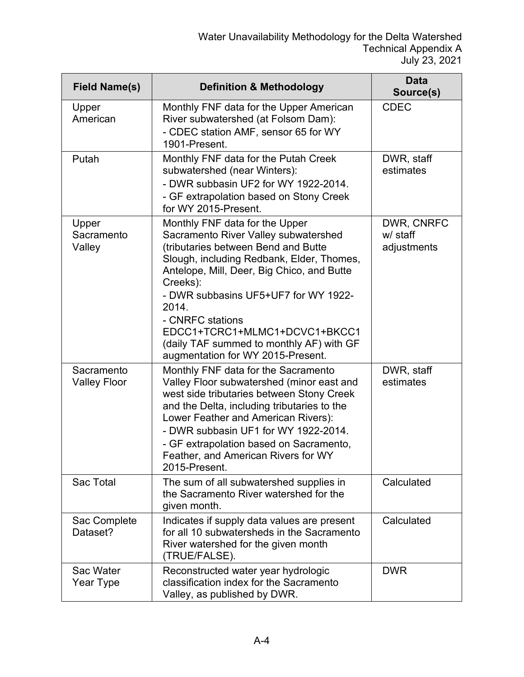| <b>Field Name(s)</b>              | <b>Definition &amp; Methodology</b>                                                                                                                                                                                                                                                                                                                                                                         | <b>Data</b><br>Source(s)              |
|-----------------------------------|-------------------------------------------------------------------------------------------------------------------------------------------------------------------------------------------------------------------------------------------------------------------------------------------------------------------------------------------------------------------------------------------------------------|---------------------------------------|
| Upper<br>American                 | Monthly FNF data for the Upper American<br>River subwatershed (at Folsom Dam):<br>- CDEC station AMF, sensor 65 for WY<br>1901-Present.                                                                                                                                                                                                                                                                     | <b>CDEC</b>                           |
| Putah                             | Monthly FNF data for the Putah Creek<br>subwatershed (near Winters):<br>- DWR subbasin UF2 for WY 1922-2014.<br>- GF extrapolation based on Stony Creek<br>for WY 2015-Present.                                                                                                                                                                                                                             | DWR, staff<br>estimates               |
| Upper<br>Sacramento<br>Valley     | Monthly FNF data for the Upper<br>Sacramento River Valley subwatershed<br>(tributaries between Bend and Butte<br>Slough, including Redbank, Elder, Thomes,<br>Antelope, Mill, Deer, Big Chico, and Butte<br>Creeks):<br>- DWR subbasins UF5+UF7 for WY 1922-<br>2014.<br>- CNRFC stations<br>EDCC1+TCRC1+MLMC1+DCVC1+BKCC1<br>(daily TAF summed to monthly AF) with GF<br>augmentation for WY 2015-Present. | DWR, CNRFC<br>w/ staff<br>adjustments |
| Sacramento<br><b>Valley Floor</b> | Monthly FNF data for the Sacramento<br>Valley Floor subwatershed (minor east and<br>west side tributaries between Stony Creek<br>and the Delta, including tributaries to the<br>Lower Feather and American Rivers):<br>- DWR subbasin UF1 for WY 1922-2014.<br>- GF extrapolation based on Sacramento,<br>Feather, and American Rivers for WY<br>2015-Present.                                              | DWR, staff<br>estimates               |
| Sac Total                         | The sum of all subwatershed supplies in<br>the Sacramento River watershed for the<br>given month.                                                                                                                                                                                                                                                                                                           | Calculated                            |
| Sac Complete<br>Dataset?          | Indicates if supply data values are present<br>for all 10 subwatersheds in the Sacramento<br>River watershed for the given month<br>(TRUE/FALSE).                                                                                                                                                                                                                                                           | Calculated                            |
| Sac Water<br>Year Type            | Reconstructed water year hydrologic<br>classification index for the Sacramento<br>Valley, as published by DWR.                                                                                                                                                                                                                                                                                              | <b>DWR</b>                            |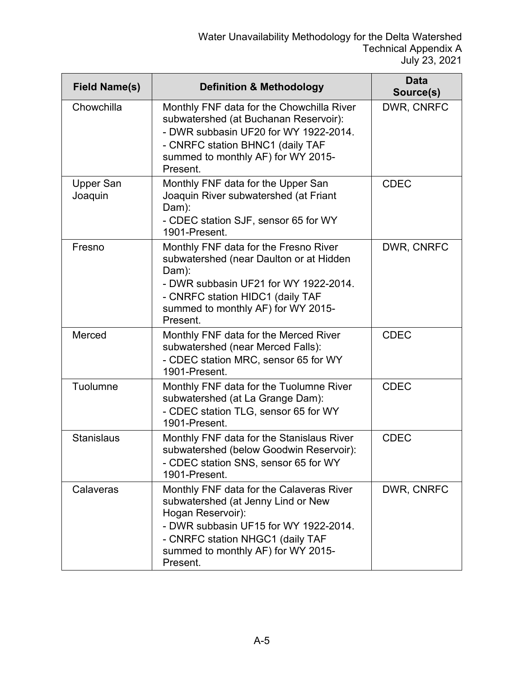| <b>Field Name(s)</b>        | <b>Definition &amp; Methodology</b>                                                                                                                                                                                                | <b>Data</b><br>Source(s) |
|-----------------------------|------------------------------------------------------------------------------------------------------------------------------------------------------------------------------------------------------------------------------------|--------------------------|
| Chowchilla                  | Monthly FNF data for the Chowchilla River<br>subwatershed (at Buchanan Reservoir):<br>- DWR subbasin UF20 for WY 1922-2014.<br>- CNRFC station BHNC1 (daily TAF<br>summed to monthly AF) for WY 2015-<br>Present.                  | DWR, CNRFC               |
| <b>Upper San</b><br>Joaquin | Monthly FNF data for the Upper San<br>Joaquin River subwatershed (at Friant<br>Dam):<br>- CDEC station SJF, sensor 65 for WY<br>1901-Present.                                                                                      | <b>CDEC</b>              |
| Fresno                      | Monthly FNF data for the Fresno River<br>subwatershed (near Daulton or at Hidden<br>Dam):<br>- DWR subbasin UF21 for WY 1922-2014.<br>- CNRFC station HIDC1 (daily TAF<br>summed to monthly AF) for WY 2015-<br>Present.           | DWR, CNRFC               |
| Merced                      | Monthly FNF data for the Merced River<br>subwatershed (near Merced Falls):<br>- CDEC station MRC, sensor 65 for WY<br>1901-Present.                                                                                                | <b>CDEC</b>              |
| Tuolumne                    | Monthly FNF data for the Tuolumne River<br>subwatershed (at La Grange Dam):<br>- CDEC station TLG, sensor 65 for WY<br>1901-Present.                                                                                               | <b>CDEC</b>              |
| <b>Stanislaus</b>           | Monthly FNF data for the Stanislaus River<br>subwatershed (below Goodwin Reservoir):<br>- CDEC station SNS, sensor 65 for WY<br>1901-Present.                                                                                      | <b>CDEC</b>              |
| Calaveras                   | Monthly FNF data for the Calaveras River<br>subwatershed (at Jenny Lind or New<br>Hogan Reservoir):<br>- DWR subbasin UF15 for WY 1922-2014.<br>- CNRFC station NHGC1 (daily TAF<br>summed to monthly AF) for WY 2015-<br>Present. | DWR, CNRFC               |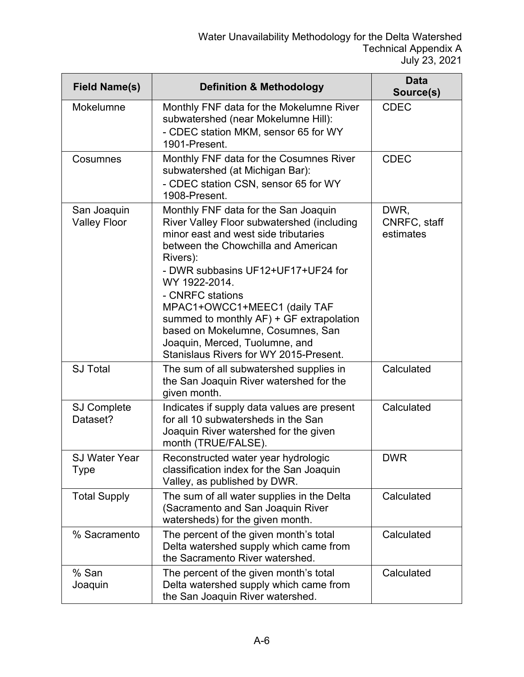| <b>Field Name(s)</b>               | <b>Definition &amp; Methodology</b>                                                                                                                                                                                                                                                                                                                                                                                                                   | <b>Data</b><br>Source(s)          |
|------------------------------------|-------------------------------------------------------------------------------------------------------------------------------------------------------------------------------------------------------------------------------------------------------------------------------------------------------------------------------------------------------------------------------------------------------------------------------------------------------|-----------------------------------|
| Mokelumne                          | Monthly FNF data for the Mokelumne River<br>subwatershed (near Mokelumne Hill):<br>- CDEC station MKM, sensor 65 for WY<br>1901-Present.                                                                                                                                                                                                                                                                                                              | <b>CDEC</b>                       |
| Cosumnes                           | Monthly FNF data for the Cosumnes River<br>subwatershed (at Michigan Bar):<br>- CDEC station CSN, sensor 65 for WY<br>1908-Present.                                                                                                                                                                                                                                                                                                                   | <b>CDEC</b>                       |
| San Joaquin<br><b>Valley Floor</b> | Monthly FNF data for the San Joaquin<br>River Valley Floor subwatershed (including<br>minor east and west side tributaries<br>between the Chowchilla and American<br>Rivers):<br>- DWR subbasins UF12+UF17+UF24 for<br>WY 1922-2014.<br>- CNRFC stations<br>MPAC1+OWCC1+MEEC1 (daily TAF<br>summed to monthly AF) + GF extrapolation<br>based on Mokelumne, Cosumnes, San<br>Joaquin, Merced, Tuolumne, and<br>Stanislaus Rivers for WY 2015-Present. | DWR,<br>CNRFC, staff<br>estimates |
| <b>SJ Total</b>                    | The sum of all subwatershed supplies in<br>the San Joaquin River watershed for the<br>given month.                                                                                                                                                                                                                                                                                                                                                    | Calculated                        |
| <b>SJ Complete</b><br>Dataset?     | Indicates if supply data values are present<br>for all 10 subwatersheds in the San<br>Joaquin River watershed for the given<br>month (TRUE/FALSE).                                                                                                                                                                                                                                                                                                    | Calculated                        |
| <b>SJ Water Year</b><br>Type       | Reconstructed water year hydrologic<br>classification index for the San Joaquin<br>Valley, as published by DWR.                                                                                                                                                                                                                                                                                                                                       | <b>DWR</b>                        |
| <b>Total Supply</b>                | The sum of all water supplies in the Delta<br>(Sacramento and San Joaquin River<br>watersheds) for the given month.                                                                                                                                                                                                                                                                                                                                   | Calculated                        |
| % Sacramento                       | The percent of the given month's total<br>Delta watershed supply which came from<br>the Sacramento River watershed.                                                                                                                                                                                                                                                                                                                                   | Calculated                        |
| % San<br>Joaquin                   | The percent of the given month's total<br>Delta watershed supply which came from<br>the San Joaquin River watershed.                                                                                                                                                                                                                                                                                                                                  | Calculated                        |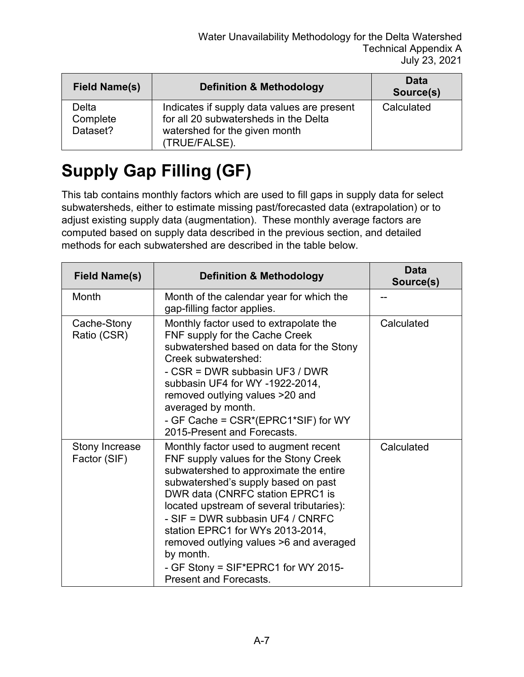| <b>Field Name(s)</b>          | <b>Definition &amp; Methodology</b>                                                                                                    | Data<br>Source(s) |
|-------------------------------|----------------------------------------------------------------------------------------------------------------------------------------|-------------------|
| Delta<br>Complete<br>Dataset? | Indicates if supply data values are present<br>for all 20 subwatersheds in the Delta<br>watershed for the given month<br>(TRUE/FALSE). | Calculated        |

# **Supply Gap Filling (GF)**

This tab contains monthly factors which are used to fill gaps in supply data for select subwatersheds, either to estimate missing past/forecasted data (extrapolation) or to adjust existing supply data (augmentation). These monthly average factors are computed based on supply data described in the previous section, and detailed methods for each subwatershed are described in the table below.

| <b>Field Name(s)</b>           | <b>Definition &amp; Methodology</b>                                                                                                                                                                                                                                                                                                                                                                                                                      | Data<br>Source(s) |
|--------------------------------|----------------------------------------------------------------------------------------------------------------------------------------------------------------------------------------------------------------------------------------------------------------------------------------------------------------------------------------------------------------------------------------------------------------------------------------------------------|-------------------|
| Month                          | Month of the calendar year for which the<br>gap-filling factor applies.                                                                                                                                                                                                                                                                                                                                                                                  |                   |
| Cache-Stony<br>Ratio (CSR)     | Monthly factor used to extrapolate the<br>FNF supply for the Cache Creek<br>subwatershed based on data for the Stony<br>Creek subwatershed:<br>- CSR = DWR subbasin UF3 / DWR<br>subbasin UF4 for WY -1922-2014,<br>removed outlying values >20 and<br>averaged by month.<br>- GF Cache = CSR*(EPRC1*SIF) for WY<br>2015-Present and Forecasts.                                                                                                          | Calculated        |
| Stony Increase<br>Factor (SIF) | Monthly factor used to augment recent<br>FNF supply values for the Stony Creek<br>subwatershed to approximate the entire<br>subwatershed's supply based on past<br>DWR data (CNRFC station EPRC1 is<br>located upstream of several tributaries):<br>- SIF = DWR subbasin UF4 / CNRFC<br>station EPRC1 for WYs 2013-2014,<br>removed outlying values >6 and averaged<br>by month.<br>- GF Stony = SIF*EPRC1 for WY 2015-<br><b>Present and Forecasts.</b> | Calculated        |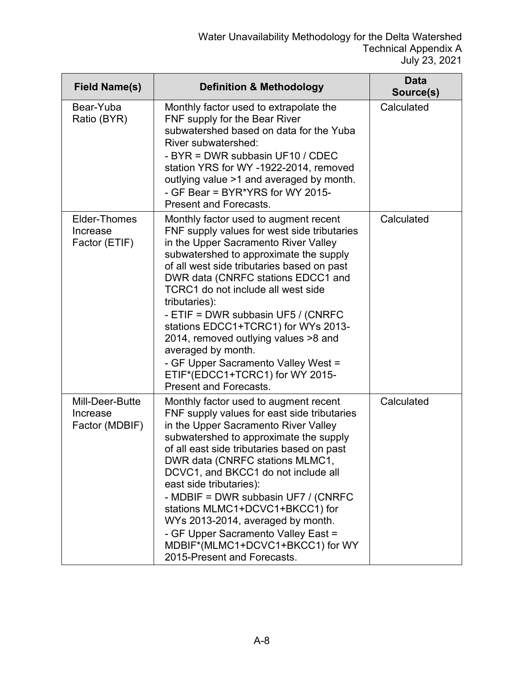| <b>Field Name(s)</b>                          | <b>Definition &amp; Methodology</b>                                                                                                                                                                                                                                                                                                                                                                                                                                                                                                                                     | <b>Data</b><br>Source(s) |
|-----------------------------------------------|-------------------------------------------------------------------------------------------------------------------------------------------------------------------------------------------------------------------------------------------------------------------------------------------------------------------------------------------------------------------------------------------------------------------------------------------------------------------------------------------------------------------------------------------------------------------------|--------------------------|
| Bear-Yuba<br>Ratio (BYR)                      | Monthly factor used to extrapolate the<br>FNF supply for the Bear River<br>subwatershed based on data for the Yuba<br>River subwatershed:<br>- BYR = DWR subbasin UF10 / CDEC<br>station YRS for WY -1922-2014, removed<br>outlying value >1 and averaged by month.<br>- GF Bear = BYR*YRS for WY 2015-<br><b>Present and Forecasts.</b>                                                                                                                                                                                                                                | Calculated               |
| Elder-Thomes<br>Increase<br>Factor (ETIF)     | Monthly factor used to augment recent<br>FNF supply values for west side tributaries<br>in the Upper Sacramento River Valley<br>subwatershed to approximate the supply<br>of all west side tributaries based on past<br>DWR data (CNRFC stations EDCC1 and<br>TCRC1 do not include all west side<br>tributaries):<br>- ETIF = DWR subbasin UF5 / (CNRFC<br>stations EDCC1+TCRC1) for WYs 2013-<br>2014, removed outlying values >8 and<br>averaged by month.<br>- GF Upper Sacramento Valley West =<br>ETIF*(EDCC1+TCRC1) for WY 2015-<br><b>Present and Forecasts.</b> | Calculated               |
| Mill-Deer-Butte<br>Increase<br>Factor (MDBIF) | Monthly factor used to augment recent<br>FNF supply values for east side tributaries<br>in the Upper Sacramento River Valley<br>subwatershed to approximate the supply<br>of all east side tributaries based on past<br>DWR data (CNRFC stations MLMC1,<br>DCVC1, and BKCC1 do not include all<br>east side tributaries):<br>- MDBIF = DWR subbasin UF7 / (CNRFC<br>stations MLMC1+DCVC1+BKCC1) for<br>WYs 2013-2014, averaged by month.<br>- GF Upper Sacramento Valley East =<br>MDBIF*(MLMC1+DCVC1+BKCC1) for WY<br>2015-Present and Forecasts.                      | Calculated               |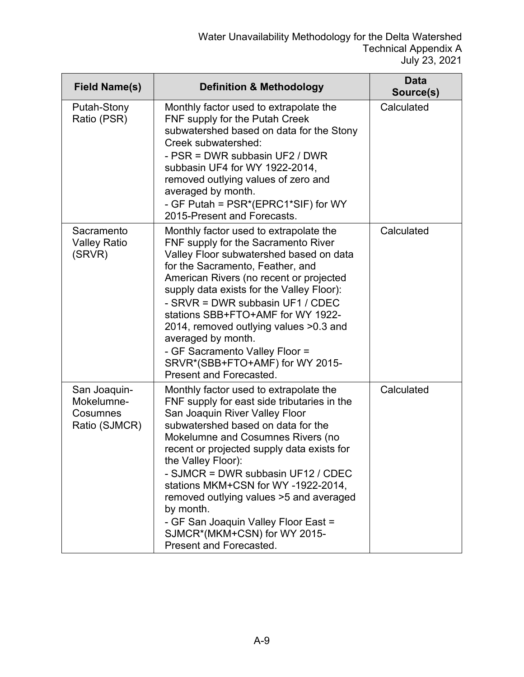| <b>Field Name(s)</b>                                    | <b>Definition &amp; Methodology</b>                                                                                                                                                                                                                                                                                                                                                                                                                                                                           | <b>Data</b><br>Source(s) |
|---------------------------------------------------------|---------------------------------------------------------------------------------------------------------------------------------------------------------------------------------------------------------------------------------------------------------------------------------------------------------------------------------------------------------------------------------------------------------------------------------------------------------------------------------------------------------------|--------------------------|
| Putah-Stony<br>Ratio (PSR)                              | Monthly factor used to extrapolate the<br>FNF supply for the Putah Creek<br>subwatershed based on data for the Stony<br>Creek subwatershed:<br>- PSR = DWR subbasin UF2 / DWR<br>subbasin UF4 for WY 1922-2014,<br>removed outlying values of zero and<br>averaged by month.<br>- GF Putah = PSR*(EPRC1*SIF) for WY<br>2015-Present and Forecasts.                                                                                                                                                            | Calculated               |
| Sacramento<br><b>Valley Ratio</b><br>(SRVR)             | Monthly factor used to extrapolate the<br>FNF supply for the Sacramento River<br>Valley Floor subwatershed based on data<br>for the Sacramento, Feather, and<br>American Rivers (no recent or projected<br>supply data exists for the Valley Floor):<br>- SRVR = DWR subbasin UF1 / CDEC<br>stations SBB+FTO+AMF for WY 1922-<br>2014, removed outlying values > 0.3 and<br>averaged by month.<br>- GF Sacramento Valley Floor =<br>SRVR*(SBB+FTO+AMF) for WY 2015-<br>Present and Forecasted.                | Calculated               |
| San Joaquin-<br>Mokelumne-<br>Cosumnes<br>Ratio (SJMCR) | Monthly factor used to extrapolate the<br>FNF supply for east side tributaries in the<br>San Joaquin River Valley Floor<br>subwatershed based on data for the<br>Mokelumne and Cosumnes Rivers (no<br>recent or projected supply data exists for<br>the Valley Floor):<br>- SJMCR = DWR subbasin UF12 / CDEC<br>stations MKM+CSN for WY-1922-2014,<br>removed outlying values >5 and averaged<br>by month.<br>- GF San Joaquin Valley Floor East =<br>SJMCR*(MKM+CSN) for WY 2015-<br>Present and Forecasted. | Calculated               |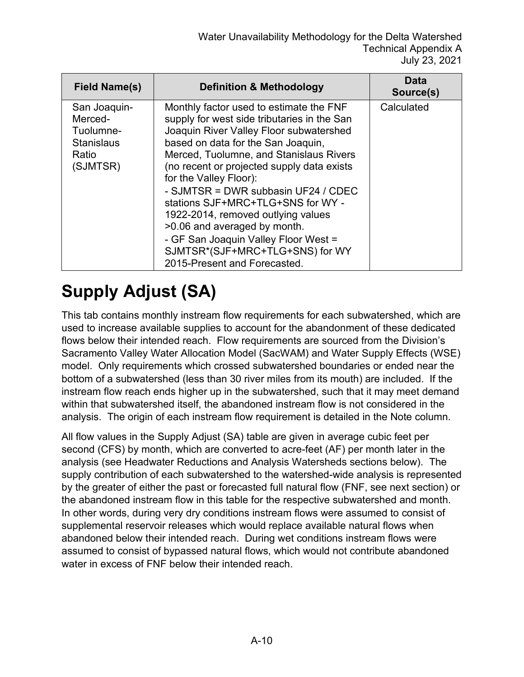| Field Name(s)                                                                  | <b>Definition &amp; Methodology</b>                                                                                                                                                                                                                                                                                                                                                                                                                                                                                                                     | Data<br>Source(s) |
|--------------------------------------------------------------------------------|---------------------------------------------------------------------------------------------------------------------------------------------------------------------------------------------------------------------------------------------------------------------------------------------------------------------------------------------------------------------------------------------------------------------------------------------------------------------------------------------------------------------------------------------------------|-------------------|
| San Joaquin-<br>Merced-<br>Tuolumne-<br><b>Stanislaus</b><br>Ratio<br>(SJMTSR) | Monthly factor used to estimate the FNF<br>supply for west side tributaries in the San<br>Joaquin River Valley Floor subwatershed<br>based on data for the San Joaquin,<br>Merced, Tuolumne, and Stanislaus Rivers<br>(no recent or projected supply data exists<br>for the Valley Floor):<br>- SJMTSR = DWR subbasin UF24 / CDEC<br>stations SJF+MRC+TLG+SNS for WY -<br>1922-2014, removed outlying values<br>>0.06 and averaged by month.<br>- GF San Joaquin Valley Floor West =<br>SJMTSR*(SJF+MRC+TLG+SNS) for WY<br>2015-Present and Forecasted. | Calculated        |

# **Supply Adjust (SA)**

This tab contains monthly instream flow requirements for each subwatershed, which are used to increase available supplies to account for the abandonment of these dedicated flows below their intended reach. Flow requirements are sourced from the Division's Sacramento Valley Water Allocation Model (SacWAM) and Water Supply Effects (WSE) model. Only requirements which crossed subwatershed boundaries or ended near the bottom of a subwatershed (less than 30 river miles from its mouth) are included. If the instream flow reach ends higher up in the subwatershed, such that it may meet demand within that subwatershed itself, the abandoned instream flow is not considered in the analysis. The origin of each instream flow requirement is detailed in the Note column.

All flow values in the Supply Adjust (SA) table are given in average cubic feet per second (CFS) by month, which are converted to acre-feet (AF) per month later in the analysis (see Headwater Reductions and Analysis Watersheds sections below). The supply contribution of each subwatershed to the watershed-wide analysis is represented by the greater of either the past or forecasted full natural flow (FNF, see next section) or the abandoned instream flow in this table for the respective subwatershed and month. In other words, during very dry conditions instream flows were assumed to consist of supplemental reservoir releases which would replace available natural flows when abandoned below their intended reach. During wet conditions instream flows were assumed to consist of bypassed natural flows, which would not contribute abandoned water in excess of FNF below their intended reach.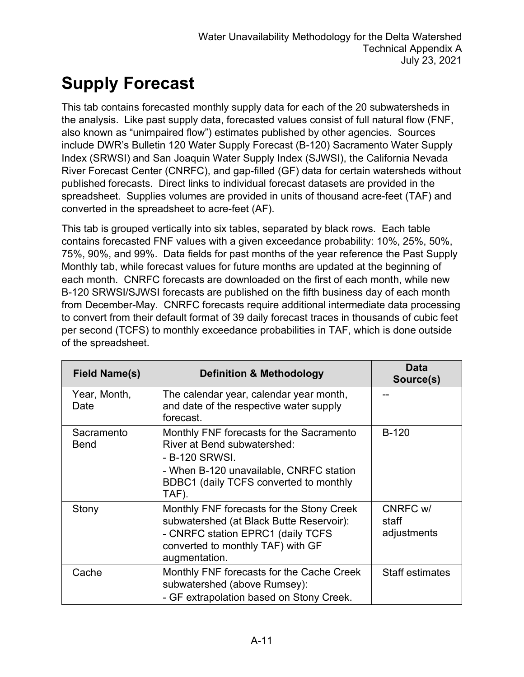# **Supply Forecast**

This tab contains forecasted monthly supply data for each of the 20 subwatersheds in the analysis. Like past supply data, forecasted values consist of full natural flow (FNF, also known as "unimpaired flow") estimates published by other agencies. Sources include DWR's Bulletin 120 Water Supply Forecast (B-120) Sacramento Water Supply Index (SRWSI) and San Joaquin Water Supply Index (SJWSI), the California Nevada River Forecast Center (CNRFC), and gap-filled (GF) data for certain watersheds without published forecasts. Direct links to individual forecast datasets are provided in the spreadsheet. Supplies volumes are provided in units of thousand acre-feet (TAF) and converted in the spreadsheet to acre-feet (AF).

This tab is grouped vertically into six tables, separated by black rows. Each table contains forecasted FNF values with a given exceedance probability: 10%, 25%, 50%, 75%, 90%, and 99%. Data fields for past months of the year reference the Past Supply Monthly tab, while forecast values for future months are updated at the beginning of each month. CNRFC forecasts are downloaded on the first of each month, while new B-120 SRWSI/SJWSI forecasts are published on the fifth business day of each month from December-May. CNRFC forecasts require additional intermediate data processing to convert from their default format of 39 daily forecast traces in thousands of cubic feet per second (TCFS) to monthly exceedance probabilities in TAF, which is done outside of the spreadsheet.

| <b>Field Name(s)</b>      | <b>Definition &amp; Methodology</b>                                                                                                                                                     | Data<br>Source(s)                |
|---------------------------|-----------------------------------------------------------------------------------------------------------------------------------------------------------------------------------------|----------------------------------|
| Year, Month,<br>Date      | The calendar year, calendar year month,<br>and date of the respective water supply<br>forecast.                                                                                         |                                  |
| Sacramento<br><b>Bend</b> | Monthly FNF forecasts for the Sacramento<br>River at Bend subwatershed:<br>- B-120 SRWSI.<br>- When B-120 unavailable, CNRFC station<br>BDBC1 (daily TCFS converted to monthly<br>TAF). | <b>B-120</b>                     |
| Stony                     | Monthly FNF forecasts for the Stony Creek<br>subwatershed (at Black Butte Reservoir):<br>- CNRFC station EPRC1 (daily TCFS<br>converted to monthly TAF) with GF<br>augmentation.        | CNRFC w/<br>staff<br>adjustments |
| Cache                     | Monthly FNF forecasts for the Cache Creek<br>subwatershed (above Rumsey):<br>- GF extrapolation based on Stony Creek.                                                                   | <b>Staff estimates</b>           |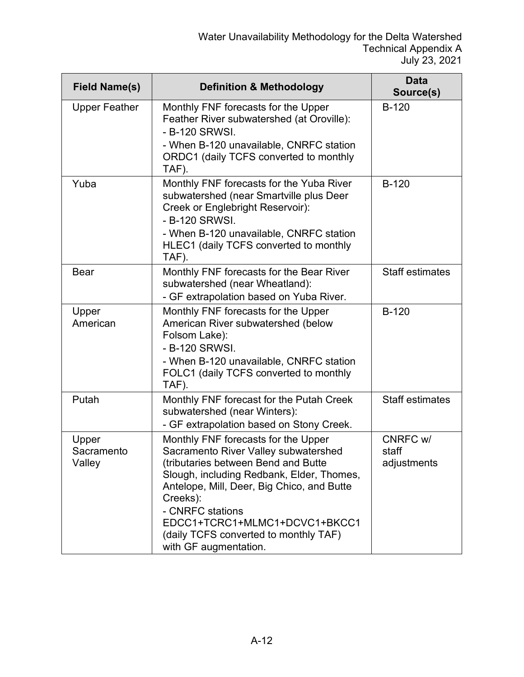| <b>Field Name(s)</b>          | <b>Definition &amp; Methodology</b>                                                                                                                                                                                                                                                                                                              | <b>Data</b><br>Source(s)         |
|-------------------------------|--------------------------------------------------------------------------------------------------------------------------------------------------------------------------------------------------------------------------------------------------------------------------------------------------------------------------------------------------|----------------------------------|
| <b>Upper Feather</b>          | Monthly FNF forecasts for the Upper<br>Feather River subwatershed (at Oroville):<br>- B-120 SRWSI.<br>- When B-120 unavailable, CNRFC station<br>ORDC1 (daily TCFS converted to monthly<br>TAF).                                                                                                                                                 | $B-120$                          |
| Yuba                          | Monthly FNF forecasts for the Yuba River<br>subwatershed (near Smartville plus Deer<br>Creek or Englebright Reservoir):<br>- B-120 SRWSI.<br>- When B-120 unavailable, CNRFC station<br>HLEC1 (daily TCFS converted to monthly<br>TAF).                                                                                                          | <b>B-120</b>                     |
| <b>Bear</b>                   | Monthly FNF forecasts for the Bear River<br>subwatershed (near Wheatland):<br>- GF extrapolation based on Yuba River.                                                                                                                                                                                                                            | <b>Staff estimates</b>           |
| Upper<br>American             | Monthly FNF forecasts for the Upper<br>American River subwatershed (below<br>Folsom Lake):<br>- B-120 SRWSI.<br>- When B-120 unavailable, CNRFC station<br>FOLC1 (daily TCFS converted to monthly<br>TAF).                                                                                                                                       | $B-120$                          |
| Putah                         | Monthly FNF forecast for the Putah Creek<br>subwatershed (near Winters):<br>- GF extrapolation based on Stony Creek.                                                                                                                                                                                                                             | <b>Staff estimates</b>           |
| Upper<br>Sacramento<br>Valley | Monthly FNF forecasts for the Upper<br>Sacramento River Valley subwatershed<br>(tributaries between Bend and Butte<br>Slough, including Redbank, Elder, Thomes,<br>Antelope, Mill, Deer, Big Chico, and Butte<br>Creeks):<br>- CNRFC stations<br>EDCC1+TCRC1+MLMC1+DCVC1+BKCC1<br>(daily TCFS converted to monthly TAF)<br>with GF augmentation. | CNRFC w/<br>staff<br>adjustments |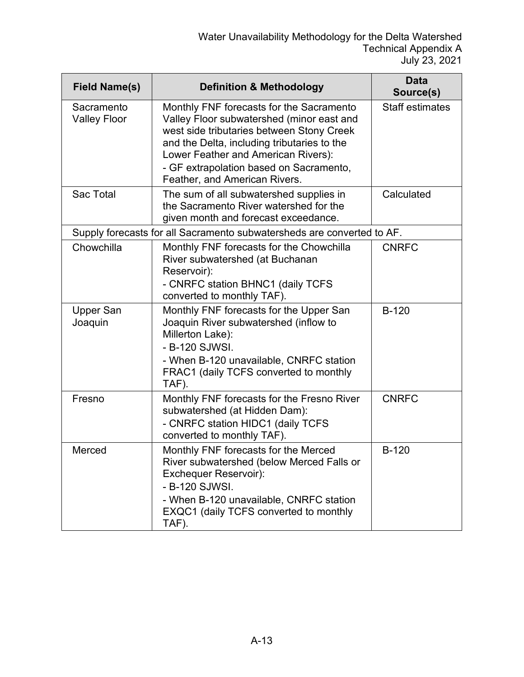| <b>Field Name(s)</b>              | <b>Definition &amp; Methodology</b>                                                                                                                                                                                                                                                                  | Data<br>Source(s)      |
|-----------------------------------|------------------------------------------------------------------------------------------------------------------------------------------------------------------------------------------------------------------------------------------------------------------------------------------------------|------------------------|
| Sacramento<br><b>Valley Floor</b> | Monthly FNF forecasts for the Sacramento<br>Valley Floor subwatershed (minor east and<br>west side tributaries between Stony Creek<br>and the Delta, including tributaries to the<br>Lower Feather and American Rivers):<br>- GF extrapolation based on Sacramento,<br>Feather, and American Rivers. | <b>Staff estimates</b> |
| Sac Total                         | The sum of all subwatershed supplies in<br>the Sacramento River watershed for the<br>given month and forecast exceedance.                                                                                                                                                                            | Calculated             |
|                                   | Supply forecasts for all Sacramento subwatersheds are converted to AF.                                                                                                                                                                                                                               |                        |
| Chowchilla                        | Monthly FNF forecasts for the Chowchilla<br>River subwatershed (at Buchanan<br>Reservoir):<br>- CNRFC station BHNC1 (daily TCFS<br>converted to monthly TAF).                                                                                                                                        | <b>CNRFC</b>           |
| <b>Upper San</b><br>Joaquin       | Monthly FNF forecasts for the Upper San<br>Joaquin River subwatershed (inflow to<br>Millerton Lake):<br>- B-120 SJWSI.<br>- When B-120 unavailable, CNRFC station<br>FRAC1 (daily TCFS converted to monthly<br>TAF).                                                                                 | $B-120$                |
| Fresno                            | Monthly FNF forecasts for the Fresno River<br>subwatershed (at Hidden Dam):<br>- CNRFC station HIDC1 (daily TCFS<br>converted to monthly TAF).                                                                                                                                                       | <b>CNRFC</b>           |
| Merced                            | Monthly FNF forecasts for the Merced<br>River subwatershed (below Merced Falls or<br><b>Exchequer Reservoir):</b><br>- B-120 SJWSI.<br>- When B-120 unavailable, CNRFC station<br>EXQC1 (daily TCFS converted to monthly<br>TAF).                                                                    | <b>B-120</b>           |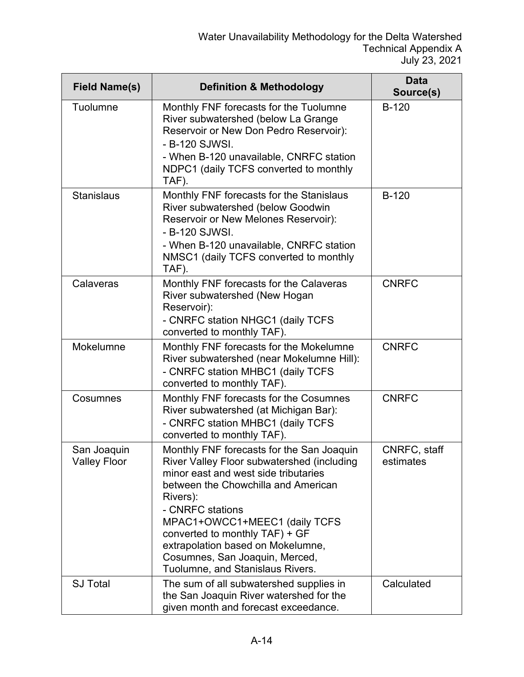| <b>Field Name(s)</b>               | <b>Definition &amp; Methodology</b>                                                                                                                                                                                                                                                                                                                                                  | <b>Data</b><br>Source(s)  |
|------------------------------------|--------------------------------------------------------------------------------------------------------------------------------------------------------------------------------------------------------------------------------------------------------------------------------------------------------------------------------------------------------------------------------------|---------------------------|
| Tuolumne                           | Monthly FNF forecasts for the Tuolumne<br>River subwatershed (below La Grange<br>Reservoir or New Don Pedro Reservoir):<br>- B-120 SJWSI.<br>- When B-120 unavailable, CNRFC station<br>NDPC1 (daily TCFS converted to monthly<br>TAF).                                                                                                                                              | <b>B-120</b>              |
| <b>Stanislaus</b>                  | Monthly FNF forecasts for the Stanislaus<br>River subwatershed (below Goodwin<br>Reservoir or New Melones Reservoir):<br>- B-120 SJWSI.<br>- When B-120 unavailable, CNRFC station<br>NMSC1 (daily TCFS converted to monthly<br>TAF).                                                                                                                                                | $B-120$                   |
| Calaveras                          | Monthly FNF forecasts for the Calaveras<br>River subwatershed (New Hogan<br>Reservoir):<br>- CNRFC station NHGC1 (daily TCFS<br>converted to monthly TAF).                                                                                                                                                                                                                           | <b>CNRFC</b>              |
| Mokelumne                          | Monthly FNF forecasts for the Mokelumne<br>River subwatershed (near Mokelumne Hill):<br>- CNRFC station MHBC1 (daily TCFS<br>converted to monthly TAF).                                                                                                                                                                                                                              | <b>CNRFC</b>              |
| Cosumnes                           | Monthly FNF forecasts for the Cosumnes<br>River subwatershed (at Michigan Bar):<br>- CNRFC station MHBC1 (daily TCFS<br>converted to monthly TAF).                                                                                                                                                                                                                                   | <b>CNRFC</b>              |
| San Joaquin<br><b>Valley Floor</b> | Monthly FNF forecasts for the San Joaquin<br>River Valley Floor subwatershed (including<br>minor east and west side tributaries<br>between the Chowchilla and American<br>Rivers):<br>- CNRFC stations<br>MPAC1+OWCC1+MEEC1 (daily TCFS<br>converted to monthly TAF) + GF<br>extrapolation based on Mokelumne,<br>Cosumnes, San Joaquin, Merced,<br>Tuolumne, and Stanislaus Rivers. | CNRFC, staff<br>estimates |
| <b>SJ Total</b>                    | The sum of all subwatershed supplies in<br>the San Joaquin River watershed for the<br>given month and forecast exceedance.                                                                                                                                                                                                                                                           | Calculated                |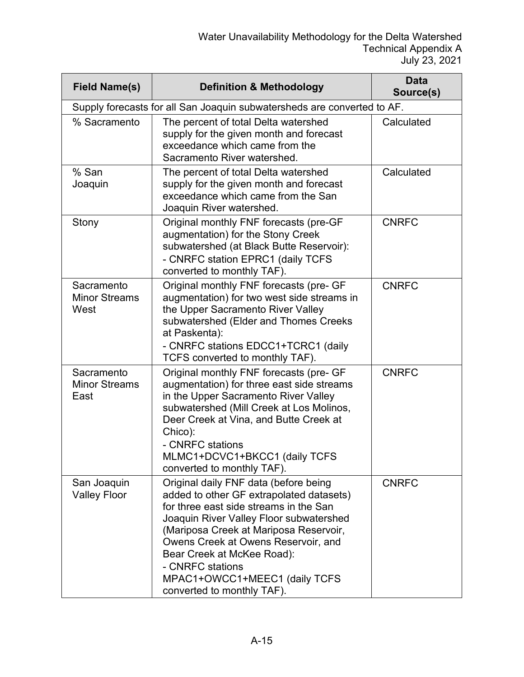| <b>Field Name(s)</b>                       | <b>Definition &amp; Methodology</b>                                                                                                                                                                                                                                                                                                                                      | Data<br>Source(s) |
|--------------------------------------------|--------------------------------------------------------------------------------------------------------------------------------------------------------------------------------------------------------------------------------------------------------------------------------------------------------------------------------------------------------------------------|-------------------|
|                                            | Supply forecasts for all San Joaquin subwatersheds are converted to AF.                                                                                                                                                                                                                                                                                                  |                   |
| % Sacramento                               | The percent of total Delta watershed<br>supply for the given month and forecast<br>exceedance which came from the<br>Sacramento River watershed.                                                                                                                                                                                                                         | Calculated        |
| % San<br>Joaquin                           | The percent of total Delta watershed<br>supply for the given month and forecast<br>exceedance which came from the San<br>Joaquin River watershed.                                                                                                                                                                                                                        | Calculated        |
| Stony                                      | Original monthly FNF forecasts (pre-GF<br>augmentation) for the Stony Creek<br>subwatershed (at Black Butte Reservoir):<br>- CNRFC station EPRC1 (daily TCFS<br>converted to monthly TAF).                                                                                                                                                                               | <b>CNRFC</b>      |
| Sacramento<br><b>Minor Streams</b><br>West | Original monthly FNF forecasts (pre- GF<br>augmentation) for two west side streams in<br>the Upper Sacramento River Valley<br>subwatershed (Elder and Thomes Creeks<br>at Paskenta):<br>- CNRFC stations EDCC1+TCRC1 (daily<br>TCFS converted to monthly TAF).                                                                                                           | <b>CNRFC</b>      |
| Sacramento<br><b>Minor Streams</b><br>East | Original monthly FNF forecasts (pre- GF<br>augmentation) for three east side streams<br>in the Upper Sacramento River Valley<br>subwatershed (Mill Creek at Los Molinos,<br>Deer Creek at Vina, and Butte Creek at<br>Chico):<br>- CNRFC stations<br>MLMC1+DCVC1+BKCC1 (daily TCFS<br>converted to monthly TAF).                                                         | <b>CNRFC</b>      |
| San Joaquin<br><b>Valley Floor</b>         | Original daily FNF data (before being<br>added to other GF extrapolated datasets)<br>for three east side streams in the San<br>Joaquin River Valley Floor subwatershed<br>(Mariposa Creek at Mariposa Reservoir,<br>Owens Creek at Owens Reservoir, and<br>Bear Creek at McKee Road):<br>- CNRFC stations<br>MPAC1+OWCC1+MEEC1 (daily TCFS<br>converted to monthly TAF). | <b>CNRFC</b>      |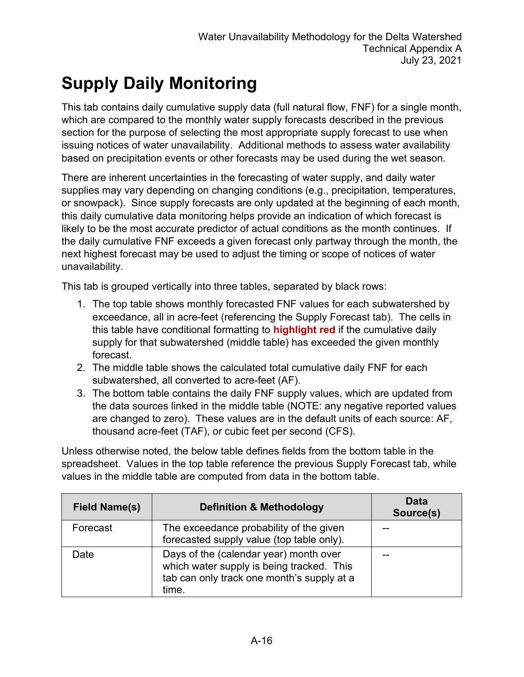# **Supply Daily Monitoring**

This tab contains daily cumulative supply data (full natural flow, FNF) for a single month, which are compared to the monthly water supply forecasts described in the previous section for the purpose of selecting the most appropriate supply forecast to use when issuing notices of water unavailability. Additional methods to assess water availability based on precipitation events or other forecasts may be used during the wet season.

There are inherent uncertainties in the forecasting of water supply, and daily water supplies may vary depending on changing conditions (e.g., precipitation, temperatures, or snowpack). Since supply forecasts are only updated at the beginning of each month, this daily cumulative data monitoring helps provide an indication of which forecast is likely to be the most accurate predictor of actual conditions as the month continues. If the daily cumulative FNF exceeds a given forecast only partway through the month, the next highest forecast may be used to adjust the timing or scope of notices of water unavailability.

This tab is grouped vertically into three tables, separated by black rows:

- 1. The top table shows monthly forecasted FNF values for each subwatershed by exceedance, all in acre-feet (referencing the Supply Forecast tab). The cells in this table have conditional formatting to **highlight red** if the cumulative daily supply for that subwatershed (middle table) has exceeded the given monthly forecast.
- 2. The middle table shows the calculated total cumulative daily FNF for each subwatershed, all converted to acre-feet (AF).
- 3. The bottom table contains the daily FNF supply values, which are updated from the data sources linked in the middle table (NOTE: any negative reported values are changed to zero). These values are in the default units of each source: AF, thousand acre-feet (TAF), or cubic feet per second (CFS).

Unless otherwise noted, the below table defines fields from the bottom table in the spreadsheet. Values in the top table reference the previous Supply Forecast tab, while values in the middle table are computed from data in the bottom table.

| <b>Field Name(s)</b> | <b>Definition &amp; Methodology</b>                                                                                                        | Data<br>Source(s) |
|----------------------|--------------------------------------------------------------------------------------------------------------------------------------------|-------------------|
| Forecast             | The exceedance probability of the given<br>forecasted supply value (top table only).                                                       |                   |
| Date                 | Days of the (calendar year) month over<br>which water supply is being tracked. This<br>tab can only track one month's supply at a<br>time. |                   |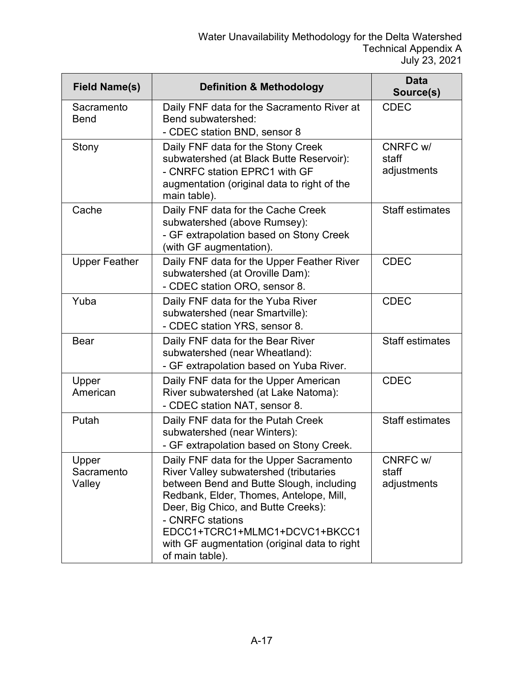| <b>Field Name(s)</b>          | <b>Definition &amp; Methodology</b>                                                                                                                                                                                                                                                                                                     | <b>Data</b><br>Source(s)         |
|-------------------------------|-----------------------------------------------------------------------------------------------------------------------------------------------------------------------------------------------------------------------------------------------------------------------------------------------------------------------------------------|----------------------------------|
| Sacramento<br><b>Bend</b>     | Daily FNF data for the Sacramento River at<br>Bend subwatershed:<br>- CDEC station BND, sensor 8                                                                                                                                                                                                                                        | <b>CDEC</b>                      |
| Stony                         | Daily FNF data for the Stony Creek<br>subwatershed (at Black Butte Reservoir):<br>- CNRFC station EPRC1 with GF<br>augmentation (original data to right of the<br>main table).                                                                                                                                                          | CNRFC w/<br>staff<br>adjustments |
| Cache                         | Daily FNF data for the Cache Creek<br>subwatershed (above Rumsey):<br>- GF extrapolation based on Stony Creek<br>(with GF augmentation).                                                                                                                                                                                                | <b>Staff estimates</b>           |
| <b>Upper Feather</b>          | Daily FNF data for the Upper Feather River<br>subwatershed (at Oroville Dam):<br>- CDEC station ORO, sensor 8.                                                                                                                                                                                                                          | <b>CDEC</b>                      |
| Yuba                          | Daily FNF data for the Yuba River<br>subwatershed (near Smartville):<br>- CDEC station YRS, sensor 8.                                                                                                                                                                                                                                   | <b>CDEC</b>                      |
| <b>Bear</b>                   | Daily FNF data for the Bear River<br>subwatershed (near Wheatland):<br>- GF extrapolation based on Yuba River.                                                                                                                                                                                                                          | <b>Staff estimates</b>           |
| Upper<br>American             | Daily FNF data for the Upper American<br>River subwatershed (at Lake Natoma):<br>- CDEC station NAT, sensor 8.                                                                                                                                                                                                                          | <b>CDEC</b>                      |
| Putah                         | Daily FNF data for the Putah Creek<br>subwatershed (near Winters):<br>- GF extrapolation based on Stony Creek.                                                                                                                                                                                                                          | <b>Staff estimates</b>           |
| Upper<br>Sacramento<br>Valley | Daily FNF data for the Upper Sacramento<br>River Valley subwatershed (tributaries<br>between Bend and Butte Slough, including<br>Redbank, Elder, Thomes, Antelope, Mill,<br>Deer, Big Chico, and Butte Creeks):<br>- CNRFC stations<br>EDCC1+TCRC1+MLMC1+DCVC1+BKCC1<br>with GF augmentation (original data to right<br>of main table). | CNRFC w/<br>staff<br>adjustments |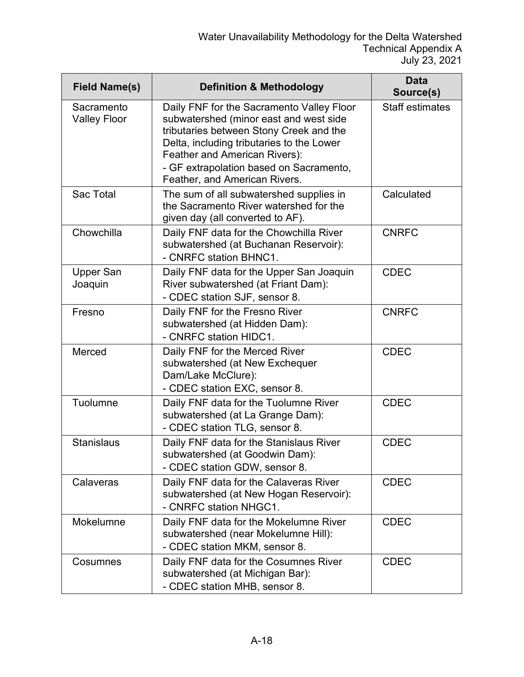| <b>Field Name(s)</b>              | <b>Definition &amp; Methodology</b>                                                                                                                                                                                                                                                      | Data<br>Source(s)      |
|-----------------------------------|------------------------------------------------------------------------------------------------------------------------------------------------------------------------------------------------------------------------------------------------------------------------------------------|------------------------|
| Sacramento<br><b>Valley Floor</b> | Daily FNF for the Sacramento Valley Floor<br>subwatershed (minor east and west side<br>tributaries between Stony Creek and the<br>Delta, including tributaries to the Lower<br>Feather and American Rivers):<br>- GF extrapolation based on Sacramento,<br>Feather, and American Rivers. | <b>Staff estimates</b> |
| Sac Total                         | The sum of all subwatershed supplies in<br>the Sacramento River watershed for the<br>given day (all converted to AF).                                                                                                                                                                    | Calculated             |
| Chowchilla                        | Daily FNF data for the Chowchilla River<br>subwatershed (at Buchanan Reservoir):<br>- CNRFC station BHNC1.                                                                                                                                                                               | <b>CNRFC</b>           |
| <b>Upper San</b><br>Joaquin       | Daily FNF data for the Upper San Joaquin<br>River subwatershed (at Friant Dam):<br>- CDEC station SJF, sensor 8.                                                                                                                                                                         | <b>CDEC</b>            |
| Fresno                            | Daily FNF for the Fresno River<br>subwatershed (at Hidden Dam):<br>- CNRFC station HIDC1.                                                                                                                                                                                                | <b>CNRFC</b>           |
| Merced                            | Daily FNF for the Merced River<br>subwatershed (at New Exchequer<br>Dam/Lake McClure):<br>- CDEC station EXC, sensor 8.                                                                                                                                                                  | <b>CDEC</b>            |
| Tuolumne                          | Daily FNF data for the Tuolumne River<br>subwatershed (at La Grange Dam):<br>- CDEC station TLG, sensor 8.                                                                                                                                                                               | <b>CDEC</b>            |
| <b>Stanislaus</b>                 | Daily FNF data for the Stanislaus River<br>subwatershed (at Goodwin Dam):<br>- CDEC station GDW, sensor 8.                                                                                                                                                                               | <b>CDEC</b>            |
| Calaveras                         | Daily FNF data for the Calaveras River<br>subwatershed (at New Hogan Reservoir):<br>- CNRFC station NHGC1.                                                                                                                                                                               | <b>CDEC</b>            |
| Mokelumne                         | Daily FNF data for the Mokelumne River<br>subwatershed (near Mokelumne Hill):<br>- CDEC station MKM, sensor 8.                                                                                                                                                                           | <b>CDEC</b>            |
| Cosumnes                          | Daily FNF data for the Cosumnes River<br>subwatershed (at Michigan Bar):<br>- CDEC station MHB, sensor 8.                                                                                                                                                                                | <b>CDEC</b>            |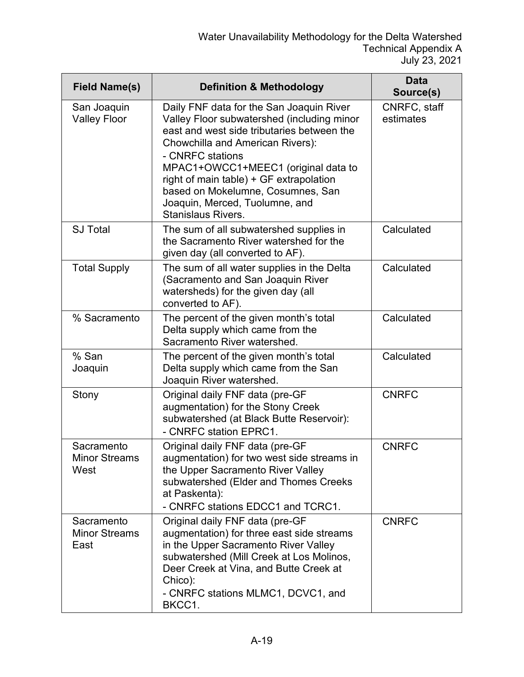| <b>Field Name(s)</b>                       | <b>Definition &amp; Methodology</b>                                                                                                                                                                                                                                                                                                                                                | Data<br>Source(s)         |
|--------------------------------------------|------------------------------------------------------------------------------------------------------------------------------------------------------------------------------------------------------------------------------------------------------------------------------------------------------------------------------------------------------------------------------------|---------------------------|
| San Joaquin<br><b>Valley Floor</b>         | Daily FNF data for the San Joaquin River<br>Valley Floor subwatershed (including minor<br>east and west side tributaries between the<br>Chowchilla and American Rivers):<br>- CNRFC stations<br>MPAC1+OWCC1+MEEC1 (original data to<br>right of main table) + GF extrapolation<br>based on Mokelumne, Cosumnes, San<br>Joaquin, Merced, Tuolumne, and<br><b>Stanislaus Rivers.</b> | CNRFC, staff<br>estimates |
| <b>SJ Total</b>                            | The sum of all subwatershed supplies in<br>the Sacramento River watershed for the<br>given day (all converted to AF).                                                                                                                                                                                                                                                              | Calculated                |
| <b>Total Supply</b>                        | The sum of all water supplies in the Delta<br>(Sacramento and San Joaquin River<br>watersheds) for the given day (all<br>converted to AF).                                                                                                                                                                                                                                         | Calculated                |
| % Sacramento                               | The percent of the given month's total<br>Delta supply which came from the<br>Sacramento River watershed.                                                                                                                                                                                                                                                                          | Calculated                |
| % San<br>Joaquin                           | The percent of the given month's total<br>Delta supply which came from the San<br>Joaquin River watershed.                                                                                                                                                                                                                                                                         | Calculated                |
| Stony                                      | Original daily FNF data (pre-GF<br>augmentation) for the Stony Creek<br>subwatershed (at Black Butte Reservoir):<br>- CNRFC station EPRC1.                                                                                                                                                                                                                                         | <b>CNRFC</b>              |
| Sacramento<br><b>Minor Streams</b><br>West | Original daily FNF data (pre-GF<br>augmentation) for two west side streams in<br>the Upper Sacramento River Valley<br>subwatershed (Elder and Thomes Creeks<br>at Paskenta):<br>- CNRFC stations EDCC1 and TCRC1.                                                                                                                                                                  | <b>CNRFC</b>              |
| Sacramento<br><b>Minor Streams</b><br>East | Original daily FNF data (pre-GF<br>augmentation) for three east side streams<br>in the Upper Sacramento River Valley<br>subwatershed (Mill Creek at Los Molinos,<br>Deer Creek at Vina, and Butte Creek at<br>Chico):<br>- CNRFC stations MLMC1, DCVC1, and<br>BKCC1.                                                                                                              | <b>CNRFC</b>              |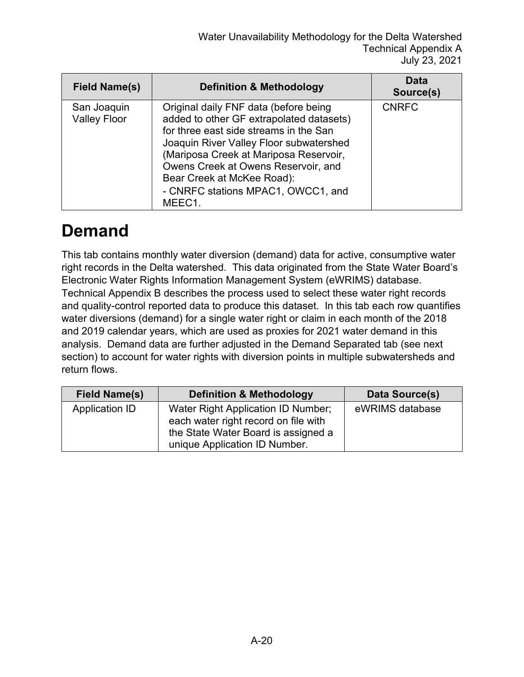| Field Name(s)                      | <b>Definition &amp; Methodology</b>                                                                                                                                                                                                                                                                                                   | <b>Data</b><br>Source(s) |
|------------------------------------|---------------------------------------------------------------------------------------------------------------------------------------------------------------------------------------------------------------------------------------------------------------------------------------------------------------------------------------|--------------------------|
| San Joaquin<br><b>Valley Floor</b> | Original daily FNF data (before being<br>added to other GF extrapolated datasets)<br>for three east side streams in the San<br>Joaquin River Valley Floor subwatershed<br>(Mariposa Creek at Mariposa Reservoir,<br>Owens Creek at Owens Reservoir, and<br>Bear Creek at McKee Road):<br>- CNRFC stations MPAC1, OWCC1, and<br>MEEC1. | <b>CNRFC</b>             |

#### **Demand**

This tab contains monthly water diversion (demand) data for active, consumptive water right records in the Delta watershed. This data originated from the State Water Board's Electronic Water Rights Information Management System (eWRIMS) database. Technical Appendix B describes the process used to select these water right records and quality-control reported data to produce this dataset. In this tab each row quantifies water diversions (demand) for a single water right or claim in each month of the 2018 and 2019 calendar years, which are used as proxies for 2021 water demand in this analysis. Demand data are further adjusted in the Demand Separated tab (see next section) to account for water rights with diversion points in multiple subwatersheds and return flows.

| <b>Field Name(s)</b> | <b>Definition &amp; Methodology</b>                                                                                                                | Data Source(s)  |
|----------------------|----------------------------------------------------------------------------------------------------------------------------------------------------|-----------------|
| Application ID       | Water Right Application ID Number;<br>each water right record on file with<br>the State Water Board is assigned a<br>unique Application ID Number. | eWRIMS database |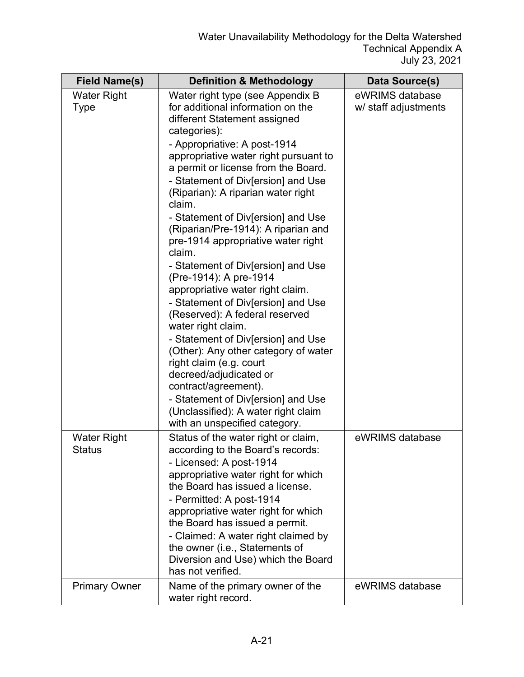| <b>Field Name(s)</b>                | <b>Definition &amp; Methodology</b>                                                                                                                                                                                                                                                                                                                                                                                                                                                                                                                                                                                                                                                                                                                                                                                                                                                                                                 | Data Source(s)                          |
|-------------------------------------|-------------------------------------------------------------------------------------------------------------------------------------------------------------------------------------------------------------------------------------------------------------------------------------------------------------------------------------------------------------------------------------------------------------------------------------------------------------------------------------------------------------------------------------------------------------------------------------------------------------------------------------------------------------------------------------------------------------------------------------------------------------------------------------------------------------------------------------------------------------------------------------------------------------------------------------|-----------------------------------------|
| <b>Water Right</b><br><b>Type</b>   | Water right type (see Appendix B<br>for additional information on the<br>different Statement assigned<br>categories):<br>- Appropriative: A post-1914<br>appropriative water right pursuant to<br>a permit or license from the Board.<br>- Statement of Div[ersion] and Use<br>(Riparian): A riparian water right<br>claim.<br>- Statement of Div[ersion] and Use<br>(Riparian/Pre-1914): A riparian and<br>pre-1914 appropriative water right<br>claim.<br>- Statement of Div[ersion] and Use<br>(Pre-1914): A pre-1914<br>appropriative water right claim.<br>- Statement of Div[ersion] and Use<br>(Reserved): A federal reserved<br>water right claim.<br>- Statement of Div[ersion] and Use<br>(Other): Any other category of water<br>right claim (e.g. court<br>decreed/adjudicated or<br>contract/agreement).<br>- Statement of Div[ersion] and Use<br>(Unclassified): A water right claim<br>with an unspecified category. | eWRIMS database<br>w/ staff adjustments |
| <b>Water Right</b><br><b>Status</b> | Status of the water right or claim,<br>according to the Board's records:<br>- Licensed: A post-1914<br>appropriative water right for which<br>the Board has issued a license.<br>- Permitted: A post-1914<br>appropriative water right for which<br>the Board has issued a permit.<br>- Claimed: A water right claimed by<br>the owner (i.e., Statements of<br>Diversion and Use) which the Board<br>has not verified.                                                                                                                                                                                                                                                                                                                                                                                                                                                                                                              | eWRIMS database                         |
| <b>Primary Owner</b>                | Name of the primary owner of the<br>water right record.                                                                                                                                                                                                                                                                                                                                                                                                                                                                                                                                                                                                                                                                                                                                                                                                                                                                             | eWRIMS database                         |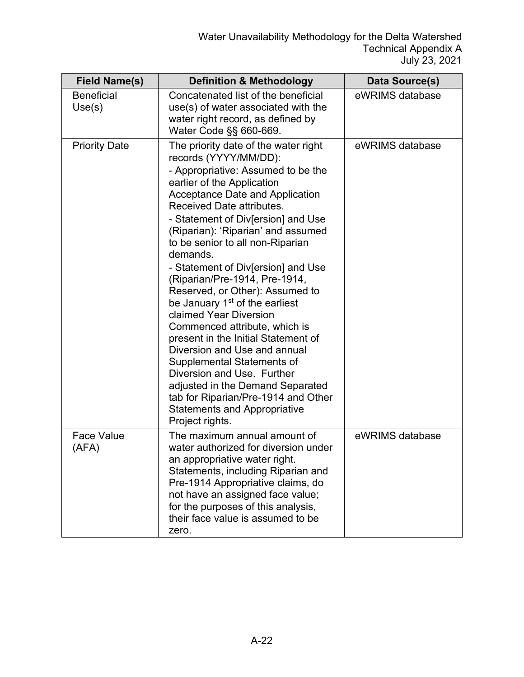| <b>Field Name(s)</b>        | <b>Definition &amp; Methodology</b>                                                                                                                                                                                                                                                                                                                                                                                                                                                                                                                                                                                                                                                                                                                                                                                             | Data Source(s)  |
|-----------------------------|---------------------------------------------------------------------------------------------------------------------------------------------------------------------------------------------------------------------------------------------------------------------------------------------------------------------------------------------------------------------------------------------------------------------------------------------------------------------------------------------------------------------------------------------------------------------------------------------------------------------------------------------------------------------------------------------------------------------------------------------------------------------------------------------------------------------------------|-----------------|
| <b>Beneficial</b><br>Use(s) | Concatenated list of the beneficial<br>use(s) of water associated with the<br>water right record, as defined by<br>Water Code §§ 660-669.                                                                                                                                                                                                                                                                                                                                                                                                                                                                                                                                                                                                                                                                                       | eWRIMS database |
| <b>Priority Date</b>        | The priority date of the water right<br>records (YYYY/MM/DD):<br>- Appropriative: Assumed to be the<br>earlier of the Application<br><b>Acceptance Date and Application</b><br>Received Date attributes.<br>- Statement of Div[ersion] and Use<br>(Riparian): 'Riparian' and assumed<br>to be senior to all non-Riparian<br>demands.<br>- Statement of Div[ersion] and Use<br>(Riparian/Pre-1914, Pre-1914,<br>Reserved, or Other): Assumed to<br>be January 1 <sup>st</sup> of the earliest<br>claimed Year Diversion<br>Commenced attribute, which is<br>present in the Initial Statement of<br>Diversion and Use and annual<br>Supplemental Statements of<br>Diversion and Use. Further<br>adjusted in the Demand Separated<br>tab for Riparian/Pre-1914 and Other<br><b>Statements and Appropriative</b><br>Project rights. | eWRIMS database |
| <b>Face Value</b><br>(AFA)  | The maximum annual amount of<br>water authorized for diversion under<br>an appropriative water right.<br>Statements, including Riparian and<br>Pre-1914 Appropriative claims, do<br>not have an assigned face value;<br>for the purposes of this analysis,<br>their face value is assumed to be<br>zero.                                                                                                                                                                                                                                                                                                                                                                                                                                                                                                                        | eWRIMS database |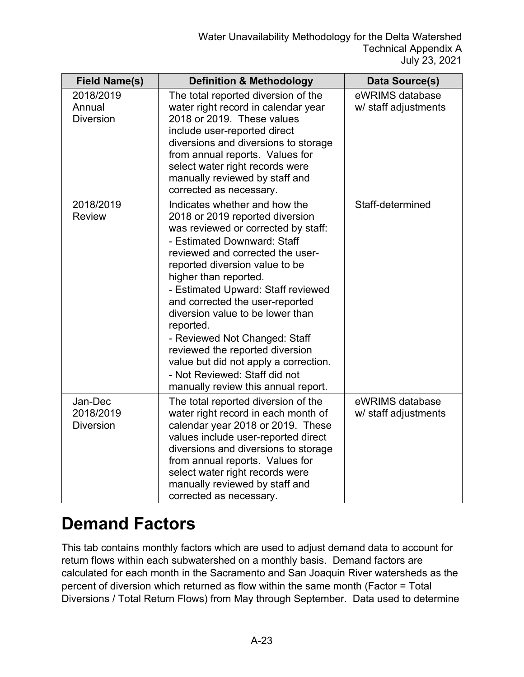| <b>Field Name(s)</b>                     | <b>Definition &amp; Methodology</b>                                                                                                                                                                                                                                                                                                                                                                                                                                                                                                                  | Data Source(s)                          |
|------------------------------------------|------------------------------------------------------------------------------------------------------------------------------------------------------------------------------------------------------------------------------------------------------------------------------------------------------------------------------------------------------------------------------------------------------------------------------------------------------------------------------------------------------------------------------------------------------|-----------------------------------------|
| 2018/2019<br>Annual<br><b>Diversion</b>  | The total reported diversion of the<br>water right record in calendar year<br>2018 or 2019. These values<br>include user-reported direct<br>diversions and diversions to storage<br>from annual reports. Values for<br>select water right records were<br>manually reviewed by staff and<br>corrected as necessary.                                                                                                                                                                                                                                  | eWRIMS database<br>w/ staff adjustments |
| 2018/2019<br><b>Review</b>               | Indicates whether and how the<br>2018 or 2019 reported diversion<br>was reviewed or corrected by staff:<br>- Estimated Downward: Staff<br>reviewed and corrected the user-<br>reported diversion value to be<br>higher than reported.<br>- Estimated Upward: Staff reviewed<br>and corrected the user-reported<br>diversion value to be lower than<br>reported.<br>- Reviewed Not Changed: Staff<br>reviewed the reported diversion<br>value but did not apply a correction.<br>- Not Reviewed: Staff did not<br>manually review this annual report. | Staff-determined                        |
| Jan-Dec<br>2018/2019<br><b>Diversion</b> | The total reported diversion of the<br>water right record in each month of<br>calendar year 2018 or 2019. These<br>values include user-reported direct<br>diversions and diversions to storage<br>from annual reports. Values for<br>select water right records were<br>manually reviewed by staff and<br>corrected as necessary.                                                                                                                                                                                                                    | eWRIMS database<br>w/ staff adjustments |

#### **Demand Factors**

This tab contains monthly factors which are used to adjust demand data to account for return flows within each subwatershed on a monthly basis. Demand factors are calculated for each month in the Sacramento and San Joaquin River watersheds as the percent of diversion which returned as flow within the same month (Factor = Total Diversions / Total Return Flows) from May through September. Data used to determine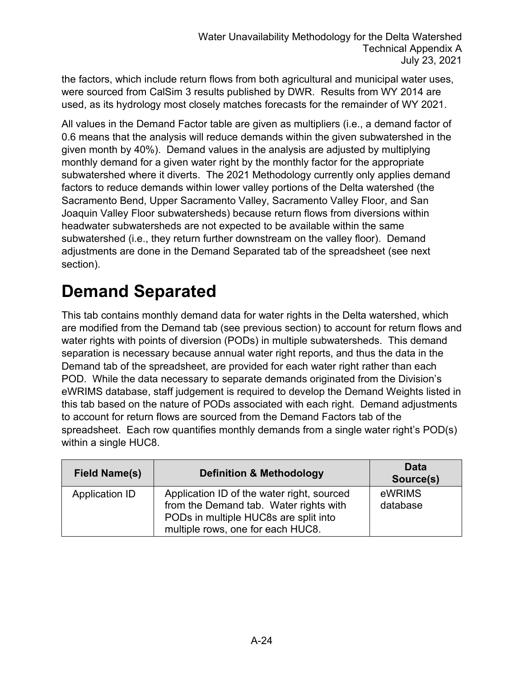the factors, which include return flows from both agricultural and municipal water uses, were sourced from CalSim 3 results published by DWR. Results from WY 2014 are used, as its hydrology most closely matches forecasts for the remainder of WY 2021.

All values in the Demand Factor table are given as multipliers (i.e., a demand factor of 0.6 means that the analysis will reduce demands within the given subwatershed in the given month by 40%). Demand values in the analysis are adjusted by multiplying monthly demand for a given water right by the monthly factor for the appropriate subwatershed where it diverts. The 2021 Methodology currently only applies demand factors to reduce demands within lower valley portions of the Delta watershed (the Sacramento Bend, Upper Sacramento Valley, Sacramento Valley Floor, and San Joaquin Valley Floor subwatersheds) because return flows from diversions within headwater subwatersheds are not expected to be available within the same subwatershed (i.e., they return further downstream on the valley floor). Demand adjustments are done in the Demand Separated tab of the spreadsheet (see next section).

#### **Demand Separated**

This tab contains monthly demand data for water rights in the Delta watershed, which are modified from the Demand tab (see previous section) to account for return flows and water rights with points of diversion (PODs) in multiple subwatersheds. This demand separation is necessary because annual water right reports, and thus the data in the Demand tab of the spreadsheet, are provided for each water right rather than each POD. While the data necessary to separate demands originated from the Division's eWRIMS database, staff judgement is required to develop the Demand Weights listed in this tab based on the nature of PODs associated with each right. Demand adjustments to account for return flows are sourced from the Demand Factors tab of the spreadsheet. Each row quantifies monthly demands from a single water right's POD(s) within a single HUC8.

| <b>Field Name(s)</b>  | <b>Definition &amp; Methodology</b>                                                                                                                                | <b>Data</b><br>Source(s) |
|-----------------------|--------------------------------------------------------------------------------------------------------------------------------------------------------------------|--------------------------|
| <b>Application ID</b> | Application ID of the water right, sourced<br>from the Demand tab. Water rights with<br>PODs in multiple HUC8s are split into<br>multiple rows, one for each HUC8. | eWRIMS<br>database       |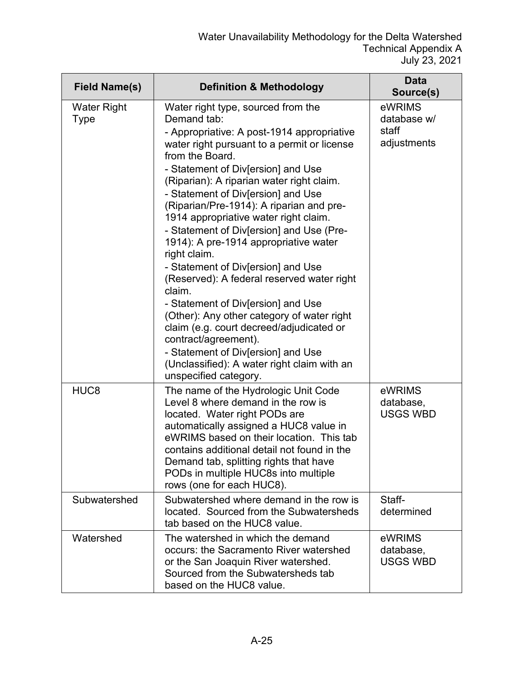| <b>Field Name(s)</b>              | <b>Definition &amp; Methodology</b>                                                                                                                                                                                                                                                                                                                                                                                                                                                                                                                                                                                                                                                                                                                                                                                                                      | Data<br>Source(s)                             |
|-----------------------------------|----------------------------------------------------------------------------------------------------------------------------------------------------------------------------------------------------------------------------------------------------------------------------------------------------------------------------------------------------------------------------------------------------------------------------------------------------------------------------------------------------------------------------------------------------------------------------------------------------------------------------------------------------------------------------------------------------------------------------------------------------------------------------------------------------------------------------------------------------------|-----------------------------------------------|
| <b>Water Right</b><br><b>Type</b> | Water right type, sourced from the<br>Demand tab:<br>- Appropriative: A post-1914 appropriative<br>water right pursuant to a permit or license<br>from the Board.<br>- Statement of Div[ersion] and Use<br>(Riparian): A riparian water right claim.<br>- Statement of Div[ersion] and Use<br>(Riparian/Pre-1914): A riparian and pre-<br>1914 appropriative water right claim.<br>- Statement of Div[ersion] and Use (Pre-<br>1914): A pre-1914 appropriative water<br>right claim.<br>- Statement of Div[ersion] and Use<br>(Reserved): A federal reserved water right<br>claim.<br>- Statement of Div[ersion] and Use<br>(Other): Any other category of water right<br>claim (e.g. court decreed/adjudicated or<br>contract/agreement).<br>- Statement of Div[ersion] and Use<br>(Unclassified): A water right claim with an<br>unspecified category. | eWRIMS<br>database w/<br>staff<br>adjustments |
| HUC <sub>8</sub>                  | The name of the Hydrologic Unit Code<br>Level 8 where demand in the row is<br>located. Water right PODs are<br>automatically assigned a HUC8 value in<br>eWRIMS based on their location. This tab<br>contains additional detail not found in the<br>Demand tab, splitting rights that have<br>PODs in multiple HUC8s into multiple<br>rows (one for each HUC8).                                                                                                                                                                                                                                                                                                                                                                                                                                                                                          | eWRIMS<br>database,<br><b>USGS WBD</b>        |
| Subwatershed                      | Subwatershed where demand in the row is<br>located. Sourced from the Subwatersheds<br>tab based on the HUC8 value.                                                                                                                                                                                                                                                                                                                                                                                                                                                                                                                                                                                                                                                                                                                                       | Staff-<br>determined                          |
| Watershed                         | The watershed in which the demand<br>occurs: the Sacramento River watershed<br>or the San Joaquin River watershed.<br>Sourced from the Subwatersheds tab<br>based on the HUC8 value.                                                                                                                                                                                                                                                                                                                                                                                                                                                                                                                                                                                                                                                                     | eWRIMS<br>database,<br><b>USGS WBD</b>        |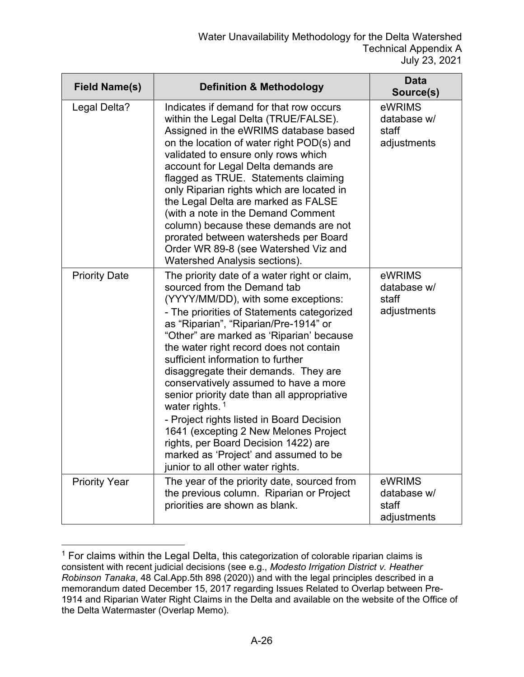| <b>Field Name(s)</b> | <b>Definition &amp; Methodology</b>                                                                                                                                                                                                                                                                                                                                                                                                                                                                                                                                                                                                                                                                    | <b>Data</b><br>Source(s)                      |
|----------------------|--------------------------------------------------------------------------------------------------------------------------------------------------------------------------------------------------------------------------------------------------------------------------------------------------------------------------------------------------------------------------------------------------------------------------------------------------------------------------------------------------------------------------------------------------------------------------------------------------------------------------------------------------------------------------------------------------------|-----------------------------------------------|
| Legal Delta?         | Indicates if demand for that row occurs<br>within the Legal Delta (TRUE/FALSE).<br>Assigned in the eWRIMS database based<br>on the location of water right POD(s) and<br>validated to ensure only rows which<br>account for Legal Delta demands are<br>flagged as TRUE. Statements claiming<br>only Riparian rights which are located in<br>the Legal Delta are marked as FALSE<br>(with a note in the Demand Comment<br>column) because these demands are not<br>prorated between watersheds per Board<br>Order WR 89-8 (see Watershed Viz and<br><b>Watershed Analysis sections).</b>                                                                                                                | eWRIMS<br>database w/<br>staff<br>adjustments |
| <b>Priority Date</b> | The priority date of a water right or claim,<br>sourced from the Demand tab<br>(YYYY/MM/DD), with some exceptions:<br>- The priorities of Statements categorized<br>as "Riparian", "Riparian/Pre-1914" or<br>"Other" are marked as 'Riparian' because<br>the water right record does not contain<br>sufficient information to further<br>disaggregate their demands. They are<br>conservatively assumed to have a more<br>senior priority date than all appropriative<br>water rights. $1$<br>- Project rights listed in Board Decision<br>1641 (excepting 2 New Melones Project<br>rights, per Board Decision 1422) are<br>marked as 'Project' and assumed to be<br>junior to all other water rights. | eWRIMS<br>database w/<br>staff<br>adjustments |
| <b>Priority Year</b> | The year of the priority date, sourced from<br>the previous column. Riparian or Project<br>priorities are shown as blank.                                                                                                                                                                                                                                                                                                                                                                                                                                                                                                                                                                              | eWRIMS<br>database w/<br>staff<br>adjustments |

<span id="page-25-0"></span> $1$  For claims within the Legal Delta, this categorization of colorable riparian claims is consistent with recent judicial decisions (see e.g., *Modesto Irrigation District v. Heather Robinson Tanaka*, 48 Cal.App.5th 898 (2020)) and with the legal principles described in a memorandum dated December 15, 2017 regarding Issues Related to Overlap between Pre-1914 and Riparian Water Right Claims in the Delta and available on the website of the Office of the Delta Watermaster (Overlap Memo).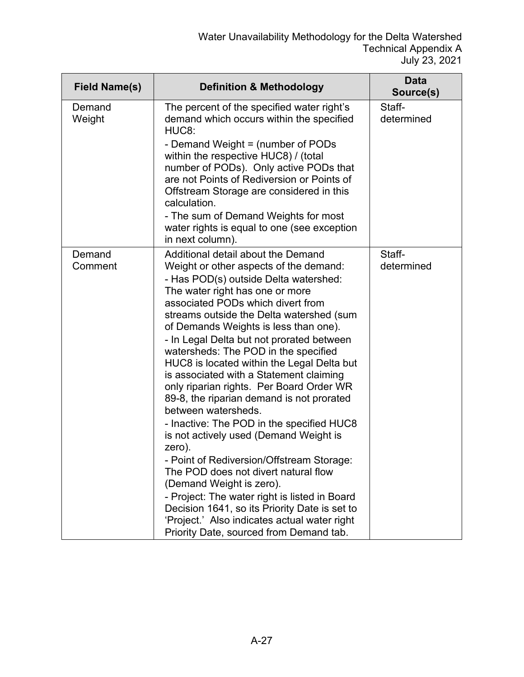| <b>Definition &amp; Methodology</b>                                                                                                                                                                                                                                                                                                                                                                                                                                                                                                                                                                                                                                                                                                                                                                                                                                                                  | <b>Data</b><br>Source(s)                                                                |
|------------------------------------------------------------------------------------------------------------------------------------------------------------------------------------------------------------------------------------------------------------------------------------------------------------------------------------------------------------------------------------------------------------------------------------------------------------------------------------------------------------------------------------------------------------------------------------------------------------------------------------------------------------------------------------------------------------------------------------------------------------------------------------------------------------------------------------------------------------------------------------------------------|-----------------------------------------------------------------------------------------|
| The percent of the specified water right's<br>demand which occurs within the specified<br>HUC <sub>8</sub> :<br>- Demand Weight = (number of PODs<br>within the respective HUC8) / (total<br>number of PODs). Only active PODs that<br>are not Points of Rediversion or Points of<br>Offstream Storage are considered in this<br>calculation.<br>- The sum of Demand Weights for most<br>water rights is equal to one (see exception<br>in next column).                                                                                                                                                                                                                                                                                                                                                                                                                                             | Staff-<br>determined                                                                    |
| Additional detail about the Demand<br>Weight or other aspects of the demand:<br>- Has POD(s) outside Delta watershed:<br>The water right has one or more<br>associated PODs which divert from<br>streams outside the Delta watershed (sum<br>of Demands Weights is less than one).<br>- In Legal Delta but not prorated between<br>watersheds: The POD in the specified<br>HUC8 is located within the Legal Delta but<br>is associated with a Statement claiming<br>only riparian rights. Per Board Order WR<br>89-8, the riparian demand is not prorated<br>between watersheds.<br>- Inactive: The POD in the specified HUC8<br>is not actively used (Demand Weight is<br>zero).<br>- Point of Rediversion/Offstream Storage:<br>The POD does not divert natural flow<br>(Demand Weight is zero).<br>- Project: The water right is listed in Board<br>Decision 1641, so its Priority Date is set to | Staff-<br>determined                                                                    |
|                                                                                                                                                                                                                                                                                                                                                                                                                                                                                                                                                                                                                                                                                                                                                                                                                                                                                                      | 'Project.' Also indicates actual water right<br>Priority Date, sourced from Demand tab. |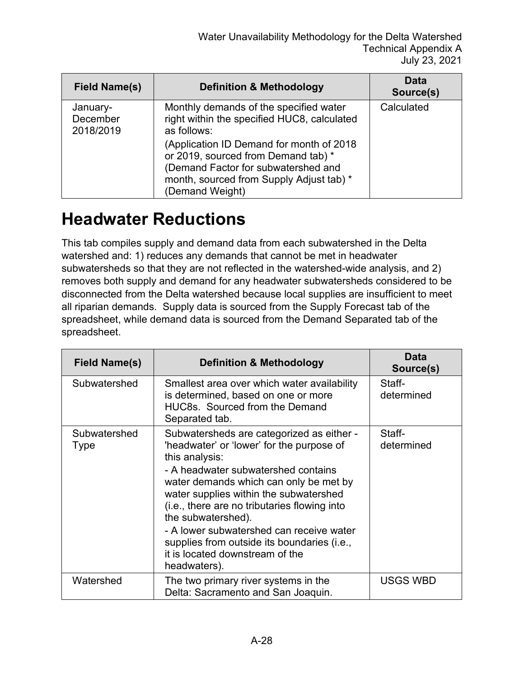| <b>Field Name(s)</b>              | <b>Definition &amp; Methodology</b>                                                                                                                                                                                                                                                            | Data<br>Source(s) |
|-----------------------------------|------------------------------------------------------------------------------------------------------------------------------------------------------------------------------------------------------------------------------------------------------------------------------------------------|-------------------|
| January-<br>December<br>2018/2019 | Monthly demands of the specified water<br>right within the specified HUC8, calculated<br>as follows:<br>(Application ID Demand for month of 2018)<br>or 2019, sourced from Demand tab) *<br>(Demand Factor for subwatershed and<br>month, sourced from Supply Adjust tab) *<br>(Demand Weight) | Calculated        |

#### **Headwater Reductions**

This tab compiles supply and demand data from each subwatershed in the Delta watershed and: 1) reduces any demands that cannot be met in headwater subwatersheds so that they are not reflected in the watershed-wide analysis, and 2) removes both supply and demand for any headwater subwatersheds considered to be disconnected from the Delta watershed because local supplies are insufficient to meet all riparian demands. Supply data is sourced from the Supply Forecast tab of the spreadsheet, while demand data is sourced from the Demand Separated tab of the spreadsheet.

| <b>Field Name(s)</b> | <b>Definition &amp; Methodology</b>                                                                                                                                                                                                                                                                                                                                                                                                                     | Data<br>Source(s)    |
|----------------------|---------------------------------------------------------------------------------------------------------------------------------------------------------------------------------------------------------------------------------------------------------------------------------------------------------------------------------------------------------------------------------------------------------------------------------------------------------|----------------------|
| Subwatershed         | Smallest area over which water availability<br>is determined, based on one or more<br>HUC8s. Sourced from the Demand<br>Separated tab.                                                                                                                                                                                                                                                                                                                  | Staff-<br>determined |
| Subwatershed<br>Type | Subwatersheds are categorized as either -<br>'headwater' or 'lower' for the purpose of<br>this analysis:<br>- A headwater subwatershed contains<br>water demands which can only be met by<br>water supplies within the subwatershed<br>(i.e., there are no tributaries flowing into<br>the subwatershed).<br>- A lower subwatershed can receive water<br>supplies from outside its boundaries (i.e.,<br>it is located downstream of the<br>headwaters). | Staff-<br>determined |
| Watershed            | The two primary river systems in the<br>Delta: Sacramento and San Joaquin.                                                                                                                                                                                                                                                                                                                                                                              | <b>USGS WBD</b>      |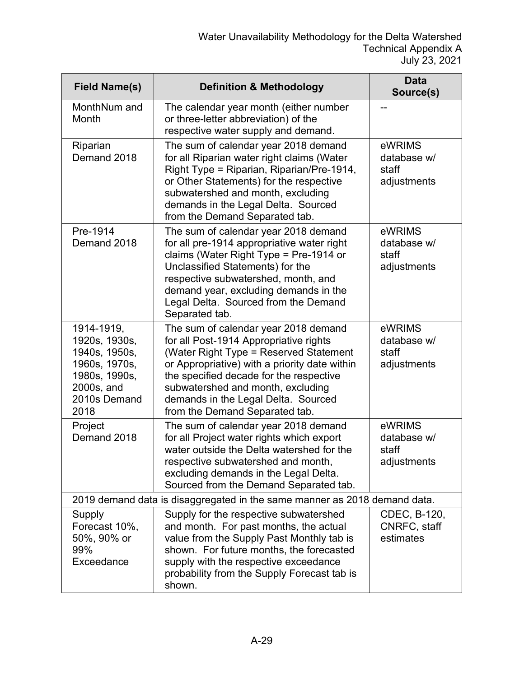| <b>Field Name(s)</b>                                                                                                 | <b>Definition &amp; Methodology</b>                                                                                                                                                                                                                                                                                                | <b>Data</b><br>Source(s)                      |
|----------------------------------------------------------------------------------------------------------------------|------------------------------------------------------------------------------------------------------------------------------------------------------------------------------------------------------------------------------------------------------------------------------------------------------------------------------------|-----------------------------------------------|
| MonthNum and<br>Month                                                                                                | The calendar year month (either number<br>or three-letter abbreviation) of the<br>respective water supply and demand.                                                                                                                                                                                                              |                                               |
| Riparian<br>Demand 2018                                                                                              | The sum of calendar year 2018 demand<br>for all Riparian water right claims (Water<br>Right Type = Riparian, Riparian/Pre-1914,<br>or Other Statements) for the respective<br>subwatershed and month, excluding<br>demands in the Legal Delta. Sourced<br>from the Demand Separated tab.                                           | eWRIMS<br>database w/<br>staff<br>adjustments |
| Pre-1914<br>Demand 2018                                                                                              | The sum of calendar year 2018 demand<br>for all pre-1914 appropriative water right<br>claims (Water Right Type = Pre-1914 or<br>Unclassified Statements) for the<br>respective subwatershed, month, and<br>demand year, excluding demands in the<br>Legal Delta. Sourced from the Demand<br>Separated tab.                         | eWRIMS<br>database w/<br>staff<br>adjustments |
| 1914-1919,<br>1920s, 1930s,<br>1940s, 1950s,<br>1960s, 1970s,<br>1980s, 1990s,<br>2000s, and<br>2010s Demand<br>2018 | The sum of calendar year 2018 demand<br>for all Post-1914 Appropriative rights<br>(Water Right Type = Reserved Statement<br>or Appropriative) with a priority date within<br>the specified decade for the respective<br>subwatershed and month, excluding<br>demands in the Legal Delta. Sourced<br>from the Demand Separated tab. | eWRIMS<br>database w/<br>staff<br>adjustments |
| Project<br>Demand 2018                                                                                               | The sum of calendar year 2018 demand<br>for all Project water rights which export<br>water outside the Delta watershed for the<br>respective subwatershed and month,<br>excluding demands in the Legal Delta.<br>Sourced from the Demand Separated tab.                                                                            | eWRIMS<br>database w/<br>staff<br>adjustments |
| 2019 demand data is disaggregated in the same manner as 2018 demand data.                                            |                                                                                                                                                                                                                                                                                                                                    |                                               |
| Supply<br>Forecast 10%,<br>50%, 90% or<br>99%<br>Exceedance                                                          | Supply for the respective subwatershed<br>and month. For past months, the actual<br>value from the Supply Past Monthly tab is<br>shown. For future months, the forecasted<br>supply with the respective exceedance<br>probability from the Supply Forecast tab is<br>shown.                                                        | CDEC, B-120,<br>CNRFC, staff<br>estimates     |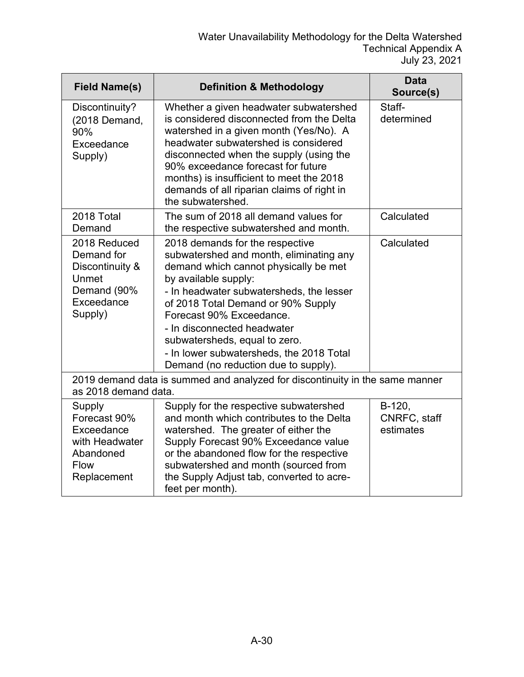| <b>Field Name(s)</b>                                                                              | <b>Definition &amp; Methodology</b>                                                                                                                                                                                                                                                                                                                                                                           | <b>Data</b><br>Source(s)            |
|---------------------------------------------------------------------------------------------------|---------------------------------------------------------------------------------------------------------------------------------------------------------------------------------------------------------------------------------------------------------------------------------------------------------------------------------------------------------------------------------------------------------------|-------------------------------------|
| Discontinuity?<br>(2018 Demand,<br>90%<br>Exceedance<br>Supply)                                   | Whether a given headwater subwatershed<br>is considered disconnected from the Delta<br>watershed in a given month (Yes/No). A<br>headwater subwatershed is considered<br>disconnected when the supply (using the<br>90% exceedance forecast for future<br>months) is insufficient to meet the 2018<br>demands of all riparian claims of right in<br>the subwatershed.                                         | Staff-<br>determined                |
| 2018 Total<br>Demand                                                                              | The sum of 2018 all demand values for<br>the respective subwatershed and month.                                                                                                                                                                                                                                                                                                                               | Calculated                          |
| 2018 Reduced<br>Demand for<br>Discontinuity &<br>Unmet<br>Demand (90%<br>Exceedance<br>Supply)    | 2018 demands for the respective<br>subwatershed and month, eliminating any<br>demand which cannot physically be met<br>by available supply:<br>- In headwater subwatersheds, the lesser<br>of 2018 Total Demand or 90% Supply<br>Forecast 90% Exceedance.<br>- In disconnected headwater<br>subwatersheds, equal to zero.<br>- In lower subwatersheds, the 2018 Total<br>Demand (no reduction due to supply). | Calculated                          |
| as 2018 demand data.                                                                              | 2019 demand data is summed and analyzed for discontinuity in the same manner                                                                                                                                                                                                                                                                                                                                  |                                     |
| Supply<br>Forecast 90%<br>Exceedance<br>with Headwater<br>Abandoned<br><b>Flow</b><br>Replacement | Supply for the respective subwatershed<br>and month which contributes to the Delta<br>watershed. The greater of either the<br>Supply Forecast 90% Exceedance value<br>or the abandoned flow for the respective<br>subwatershed and month (sourced from<br>the Supply Adjust tab, converted to acre-<br>feet per month).                                                                                       | B-120,<br>CNRFC, staff<br>estimates |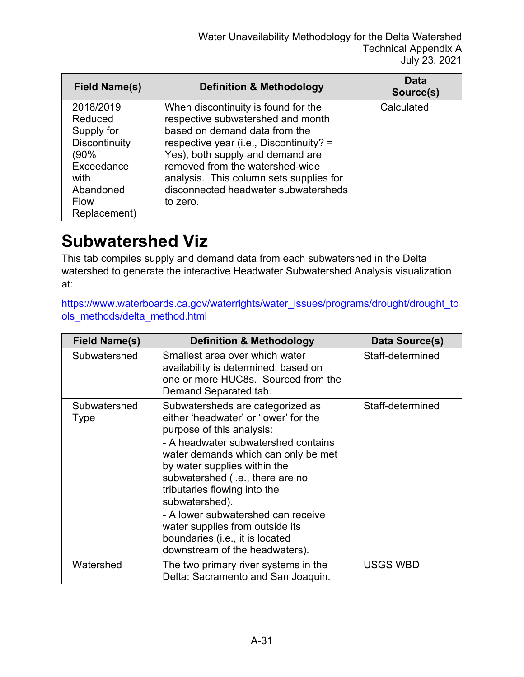| Field Name(s)                                                                                                                        | <b>Definition &amp; Methodology</b>                                                                                                                                                                                                                                                                                        | Data<br>Source(s) |
|--------------------------------------------------------------------------------------------------------------------------------------|----------------------------------------------------------------------------------------------------------------------------------------------------------------------------------------------------------------------------------------------------------------------------------------------------------------------------|-------------------|
| 2018/2019<br>Reduced<br>Supply for<br><b>Discontinuity</b><br>(90%<br>Exceedance<br>with<br>Abandoned<br><b>Flow</b><br>Replacement) | When discontinuity is found for the<br>respective subwatershed and month<br>based on demand data from the<br>respective year (i.e., Discontinuity? =<br>Yes), both supply and demand are<br>removed from the watershed-wide<br>analysis. This column sets supplies for<br>disconnected headwater subwatersheds<br>to zero. | Calculated        |

#### **Subwatershed Viz**

This tab compiles supply and demand data from each subwatershed in the Delta watershed to generate the interactive Headwater Subwatershed Analysis visualization at:

[https://www.waterboards.ca.gov/waterrights/water\\_issues/programs/drought/drought\\_to](https://www.waterboards.ca.gov/waterrights/water_issues/programs/drought/drought_tools_methods/delta_method.html) [ols\\_methods/delta\\_method.html](https://www.waterboards.ca.gov/waterrights/water_issues/programs/drought/drought_tools_methods/delta_method.html)

| <b>Field Name(s)</b> | <b>Definition &amp; Methodology</b>                                                                                                                                                                                                                                                                                                                                                                                                                      | Data Source(s)   |
|----------------------|----------------------------------------------------------------------------------------------------------------------------------------------------------------------------------------------------------------------------------------------------------------------------------------------------------------------------------------------------------------------------------------------------------------------------------------------------------|------------------|
| Subwatershed         | Smallest area over which water<br>availability is determined, based on<br>one or more HUC8s. Sourced from the<br>Demand Separated tab.                                                                                                                                                                                                                                                                                                                   | Staff-determined |
| Subwatershed<br>Type | Subwatersheds are categorized as<br>either 'headwater' or 'lower' for the<br>purpose of this analysis:<br>- A headwater subwatershed contains<br>water demands which can only be met<br>by water supplies within the<br>subwatershed (i.e., there are no<br>tributaries flowing into the<br>subwatershed).<br>- A lower subwatershed can receive<br>water supplies from outside its<br>boundaries (i.e., it is located<br>downstream of the headwaters). | Staff-determined |
| Watershed            | The two primary river systems in the<br>Delta: Sacramento and San Joaquin.                                                                                                                                                                                                                                                                                                                                                                               | <b>USGS WBD</b>  |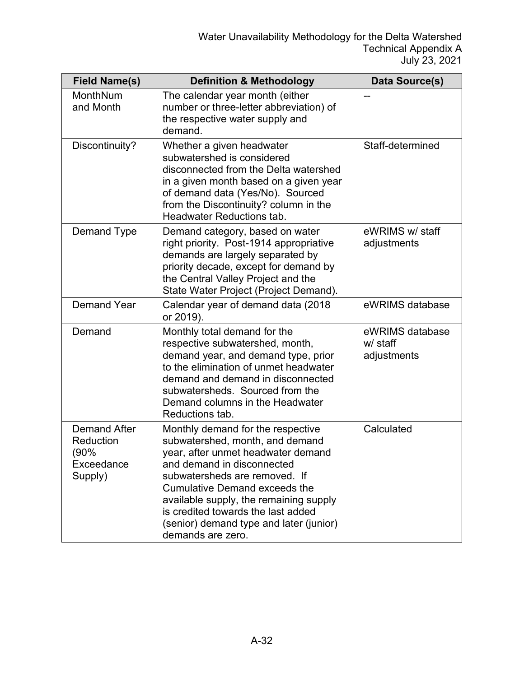| <b>Field Name(s)</b>                                              | <b>Definition &amp; Methodology</b>                                                                                                                                                                                                                                                                                                                               | Data Source(s)                             |
|-------------------------------------------------------------------|-------------------------------------------------------------------------------------------------------------------------------------------------------------------------------------------------------------------------------------------------------------------------------------------------------------------------------------------------------------------|--------------------------------------------|
| MonthNum<br>and Month                                             | The calendar year month (either<br>number or three-letter abbreviation) of<br>the respective water supply and<br>demand.                                                                                                                                                                                                                                          |                                            |
| Discontinuity?                                                    | Whether a given headwater<br>subwatershed is considered<br>disconnected from the Delta watershed<br>in a given month based on a given year<br>of demand data (Yes/No). Sourced<br>from the Discontinuity? column in the<br><b>Headwater Reductions tab.</b>                                                                                                       | Staff-determined                           |
| Demand Type                                                       | Demand category, based on water<br>right priority. Post-1914 appropriative<br>demands are largely separated by<br>priority decade, except for demand by<br>the Central Valley Project and the<br>State Water Project (Project Demand).                                                                                                                            | eWRIMS w/ staff<br>adjustments             |
| <b>Demand Year</b>                                                | Calendar year of demand data (2018<br>or 2019).                                                                                                                                                                                                                                                                                                                   | eWRIMS database                            |
| Demand                                                            | Monthly total demand for the<br>respective subwatershed, month,<br>demand year, and demand type, prior<br>to the elimination of unmet headwater<br>demand and demand in disconnected<br>subwatersheds. Sourced from the<br>Demand columns in the Headwater<br>Reductions tab.                                                                                     | eWRIMS database<br>w/ staff<br>adjustments |
| <b>Demand After</b><br>Reduction<br>(90%<br>Exceedance<br>Supply) | Monthly demand for the respective<br>subwatershed, month, and demand<br>year, after unmet headwater demand<br>and demand in disconnected<br>subwatersheds are removed. If<br><b>Cumulative Demand exceeds the</b><br>available supply, the remaining supply<br>is credited towards the last added<br>(senior) demand type and later (junior)<br>demands are zero. | Calculated                                 |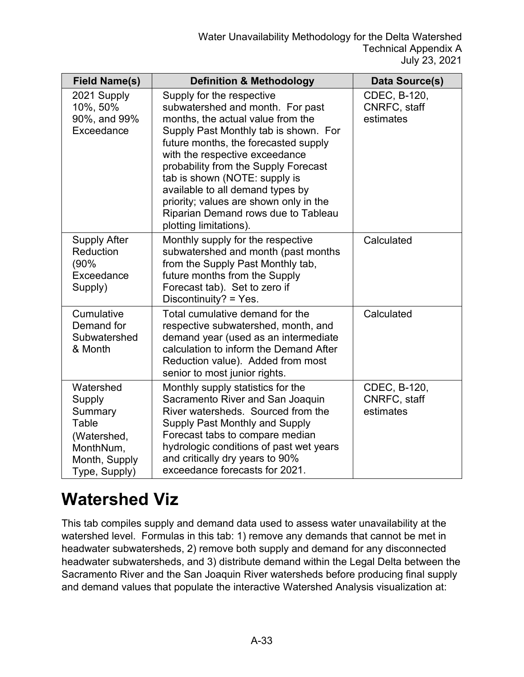| <b>Field Name(s)</b>                                                                                  | <b>Definition &amp; Methodology</b>                                                                                                                                                                                                                                                                                                                                                                                                           | Data Source(s)                            |
|-------------------------------------------------------------------------------------------------------|-----------------------------------------------------------------------------------------------------------------------------------------------------------------------------------------------------------------------------------------------------------------------------------------------------------------------------------------------------------------------------------------------------------------------------------------------|-------------------------------------------|
| 2021 Supply<br>10%, 50%<br>90%, and 99%<br>Exceedance                                                 | Supply for the respective<br>subwatershed and month. For past<br>months, the actual value from the<br>Supply Past Monthly tab is shown. For<br>future months, the forecasted supply<br>with the respective exceedance<br>probability from the Supply Forecast<br>tab is shown (NOTE: supply is<br>available to all demand types by<br>priority; values are shown only in the<br>Riparian Demand rows due to Tableau<br>plotting limitations). | CDEC, B-120,<br>CNRFC, staff<br>estimates |
| <b>Supply After</b><br>Reduction<br>(90%<br>Exceedance<br>Supply)                                     | Monthly supply for the respective<br>subwatershed and month (past months<br>from the Supply Past Monthly tab,<br>future months from the Supply<br>Forecast tab). Set to zero if<br>Discontinuity? = Yes.                                                                                                                                                                                                                                      | Calculated                                |
| Cumulative<br>Demand for<br>Subwatershed<br>& Month                                                   | Total cumulative demand for the<br>respective subwatershed, month, and<br>demand year (used as an intermediate<br>calculation to inform the Demand After<br>Reduction value). Added from most<br>senior to most junior rights.                                                                                                                                                                                                                | Calculated                                |
| Watershed<br>Supply<br>Summary<br>Table<br>(Watershed,<br>MonthNum,<br>Month, Supply<br>Type, Supply) | Monthly supply statistics for the<br>Sacramento River and San Joaquin<br>River watersheds. Sourced from the<br>Supply Past Monthly and Supply<br>Forecast tabs to compare median<br>hydrologic conditions of past wet years<br>and critically dry years to 90%<br>exceedance forecasts for 2021.                                                                                                                                              | CDEC, B-120,<br>CNRFC, staff<br>estimates |

#### **Watershed Viz**

This tab compiles supply and demand data used to assess water unavailability at the watershed level. Formulas in this tab: 1) remove any demands that cannot be met in headwater subwatersheds, 2) remove both supply and demand for any disconnected headwater subwatersheds, and 3) distribute demand within the Legal Delta between the Sacramento River and the San Joaquin River watersheds before producing final supply and demand values that populate the interactive Watershed Analysis visualization at: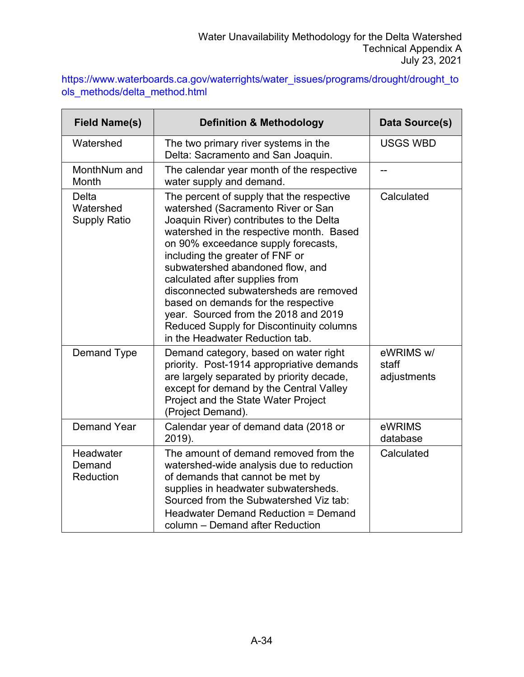|                               | https://www.waterboards.ca.gov/waterrights/water_issues/programs/drought/drought_to |
|-------------------------------|-------------------------------------------------------------------------------------|
| ols methods/delta method.html |                                                                                     |

| <b>Field Name(s)</b>                      | <b>Definition &amp; Methodology</b>                                                                                                                                                                                                                                                                                                                                                                                                                                                                                            | Data Source(s)                    |
|-------------------------------------------|--------------------------------------------------------------------------------------------------------------------------------------------------------------------------------------------------------------------------------------------------------------------------------------------------------------------------------------------------------------------------------------------------------------------------------------------------------------------------------------------------------------------------------|-----------------------------------|
| Watershed                                 | The two primary river systems in the<br>Delta: Sacramento and San Joaquin.                                                                                                                                                                                                                                                                                                                                                                                                                                                     | <b>USGS WBD</b>                   |
| MonthNum and<br>Month                     | The calendar year month of the respective<br>water supply and demand.                                                                                                                                                                                                                                                                                                                                                                                                                                                          | --                                |
| Delta<br>Watershed<br><b>Supply Ratio</b> | The percent of supply that the respective<br>watershed (Sacramento River or San<br>Joaquin River) contributes to the Delta<br>watershed in the respective month. Based<br>on 90% exceedance supply forecasts,<br>including the greater of FNF or<br>subwatershed abandoned flow, and<br>calculated after supplies from<br>disconnected subwatersheds are removed<br>based on demands for the respective<br>year. Sourced from the 2018 and 2019<br>Reduced Supply for Discontinuity columns<br>in the Headwater Reduction tab. | Calculated                        |
| Demand Type                               | Demand category, based on water right<br>priority. Post-1914 appropriative demands<br>are largely separated by priority decade,<br>except for demand by the Central Valley<br>Project and the State Water Project<br>(Project Demand).                                                                                                                                                                                                                                                                                         | eWRIMS w/<br>staff<br>adjustments |
| <b>Demand Year</b>                        | Calendar year of demand data (2018 or<br>2019).                                                                                                                                                                                                                                                                                                                                                                                                                                                                                | eWRIMS<br>database                |
| Headwater<br>Demand<br>Reduction          | The amount of demand removed from the<br>watershed-wide analysis due to reduction<br>of demands that cannot be met by<br>supplies in headwater subwatersheds.<br>Sourced from the Subwatershed Viz tab:<br>Headwater Demand Reduction = Demand<br>column - Demand after Reduction                                                                                                                                                                                                                                              | Calculated                        |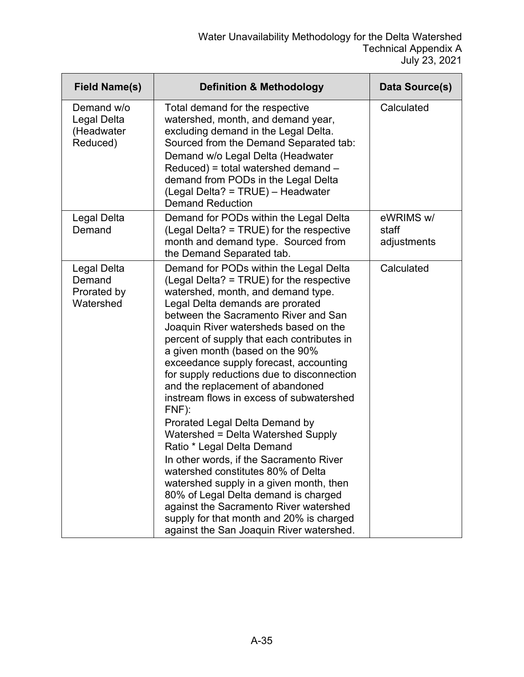| <b>Field Name(s)</b>                                | <b>Definition &amp; Methodology</b>                                                                                                                                                                                                                                                                                                                                                                                                                                                                                                                                                                                                                                                                                                                                                                                                                                                                                         | Data Source(s)                    |
|-----------------------------------------------------|-----------------------------------------------------------------------------------------------------------------------------------------------------------------------------------------------------------------------------------------------------------------------------------------------------------------------------------------------------------------------------------------------------------------------------------------------------------------------------------------------------------------------------------------------------------------------------------------------------------------------------------------------------------------------------------------------------------------------------------------------------------------------------------------------------------------------------------------------------------------------------------------------------------------------------|-----------------------------------|
| Demand w/o<br>Legal Delta<br>(Headwater<br>Reduced) | Total demand for the respective<br>watershed, month, and demand year,<br>excluding demand in the Legal Delta.<br>Sourced from the Demand Separated tab:<br>Demand w/o Legal Delta (Headwater<br>Reduced) = total watershed demand -<br>demand from PODs in the Legal Delta<br>(Legal Delta? = TRUE) - Headwater<br><b>Demand Reduction</b>                                                                                                                                                                                                                                                                                                                                                                                                                                                                                                                                                                                  | Calculated                        |
| Legal Delta<br>Demand                               | Demand for PODs within the Legal Delta<br>(Legal Delta? = TRUE) for the respective<br>month and demand type. Sourced from<br>the Demand Separated tab.                                                                                                                                                                                                                                                                                                                                                                                                                                                                                                                                                                                                                                                                                                                                                                      | eWRIMS w/<br>staff<br>adjustments |
| Legal Delta<br>Demand<br>Prorated by<br>Watershed   | Demand for PODs within the Legal Delta<br>(Legal Delta? = TRUE) for the respective<br>watershed, month, and demand type.<br>Legal Delta demands are prorated<br>between the Sacramento River and San<br>Joaquin River watersheds based on the<br>percent of supply that each contributes in<br>a given month (based on the 90%<br>exceedance supply forecast, accounting<br>for supply reductions due to disconnection<br>and the replacement of abandoned<br>instream flows in excess of subwatershed<br>FNF):<br>Prorated Legal Delta Demand by<br>Watershed = Delta Watershed Supply<br>Ratio * Legal Delta Demand<br>In other words, if the Sacramento River<br>watershed constitutes 80% of Delta<br>watershed supply in a given month, then<br>80% of Legal Delta demand is charged<br>against the Sacramento River watershed<br>supply for that month and 20% is charged<br>against the San Joaquin River watershed. | Calculated                        |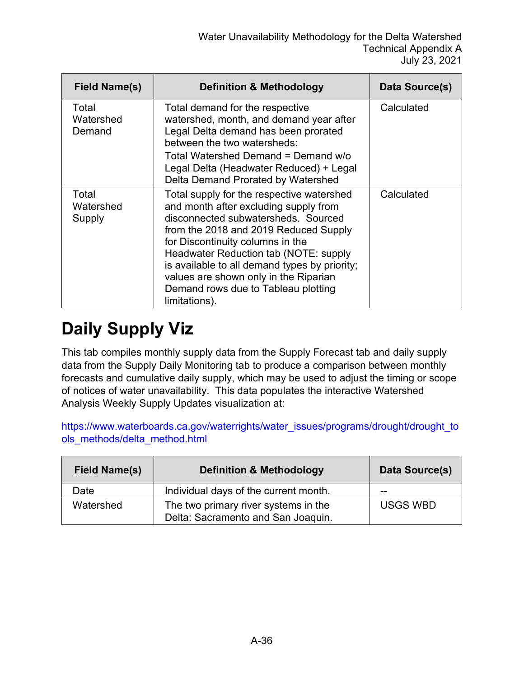| Field Name(s)                | <b>Definition &amp; Methodology</b>                                                                                                                                                                                                                                                                                                                                                               | Data Source(s) |
|------------------------------|---------------------------------------------------------------------------------------------------------------------------------------------------------------------------------------------------------------------------------------------------------------------------------------------------------------------------------------------------------------------------------------------------|----------------|
| Total<br>Watershed<br>Demand | Total demand for the respective<br>watershed, month, and demand year after<br>Legal Delta demand has been prorated<br>between the two watersheds:<br>Total Watershed Demand = Demand w/o<br>Legal Delta (Headwater Reduced) + Legal<br>Delta Demand Prorated by Watershed                                                                                                                         | Calculated     |
| Total<br>Watershed<br>Supply | Total supply for the respective watershed<br>and month after excluding supply from<br>disconnected subwatersheds. Sourced<br>from the 2018 and 2019 Reduced Supply<br>for Discontinuity columns in the<br>Headwater Reduction tab (NOTE: supply<br>is available to all demand types by priority;<br>values are shown only in the Riparian<br>Demand rows due to Tableau plotting<br>limitations). | Calculated     |

# **Daily Supply Viz**

This tab compiles monthly supply data from the Supply Forecast tab and daily supply data from the Supply Daily Monitoring tab to produce a comparison between monthly forecasts and cumulative daily supply, which may be used to adjust the timing or scope of notices of water unavailability. This data populates the interactive Watershed Analysis Weekly Supply Updates visualization at:

[https://www.waterboards.ca.gov/waterrights/water\\_issues/programs/drought/drought\\_to](https://www.waterboards.ca.gov/waterrights/water_issues/programs/drought/drought_tools_methods/delta_method.html) [ols\\_methods/delta\\_method.html](https://www.waterboards.ca.gov/waterrights/water_issues/programs/drought/drought_tools_methods/delta_method.html)

| <b>Field Name(s)</b> | <b>Definition &amp; Methodology</b>                                        | Data Source(s)  |
|----------------------|----------------------------------------------------------------------------|-----------------|
| Date                 | Individual days of the current month.                                      | --              |
| Watershed            | The two primary river systems in the<br>Delta: Sacramento and San Joaquin. | <b>USGS WBD</b> |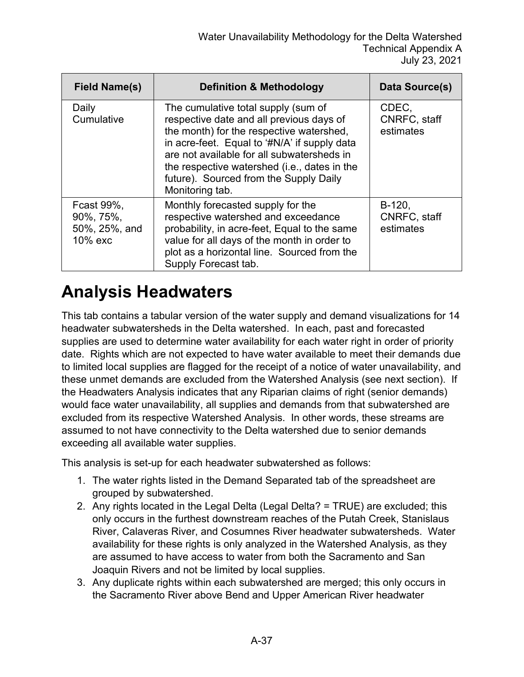| <b>Field Name(s)</b>                                | <b>Definition &amp; Methodology</b>                                                                                                                                                                                                                                                                                                    | Data Source(s)                        |
|-----------------------------------------------------|----------------------------------------------------------------------------------------------------------------------------------------------------------------------------------------------------------------------------------------------------------------------------------------------------------------------------------------|---------------------------------------|
| Daily<br>Cumulative                                 | The cumulative total supply (sum of<br>respective date and all previous days of<br>the month) for the respective watershed,<br>in acre-feet. Equal to '#N/A' if supply data<br>are not available for all subwatersheds in<br>the respective watershed (i.e., dates in the<br>future). Sourced from the Supply Daily<br>Monitoring tab. | CDEC,<br>CNRFC, staff<br>estimates    |
| Fcast 99%,<br>90%, 75%,<br>50%, 25%, and<br>10% exc | Monthly forecasted supply for the<br>respective watershed and exceedance<br>probability, in acre-feet, Equal to the same<br>value for all days of the month in order to<br>plot as a horizontal line. Sourced from the<br>Supply Forecast tab.                                                                                         | $B-120,$<br>CNRFC, staff<br>estimates |

#### **Analysis Headwaters**

This tab contains a tabular version of the water supply and demand visualizations for 14 headwater subwatersheds in the Delta watershed. In each, past and forecasted supplies are used to determine water availability for each water right in order of priority date. Rights which are not expected to have water available to meet their demands due to limited local supplies are flagged for the receipt of a notice of water unavailability, and these unmet demands are excluded from the Watershed Analysis (see next section). If the Headwaters Analysis indicates that any Riparian claims of right (senior demands) would face water unavailability, all supplies and demands from that subwatershed are excluded from its respective Watershed Analysis. In other words, these streams are assumed to not have connectivity to the Delta watershed due to senior demands exceeding all available water supplies.

This analysis is set-up for each headwater subwatershed as follows:

- 1. The water rights listed in the Demand Separated tab of the spreadsheet are grouped by subwatershed.
- 2. Any rights located in the Legal Delta (Legal Delta? = TRUE) are excluded; this only occurs in the furthest downstream reaches of the Putah Creek, Stanislaus River, Calaveras River, and Cosumnes River headwater subwatersheds. Water availability for these rights is only analyzed in the Watershed Analysis, as they are assumed to have access to water from both the Sacramento and San Joaquin Rivers and not be limited by local supplies.
- 3. Any duplicate rights within each subwatershed are merged; this only occurs in the Sacramento River above Bend and Upper American River headwater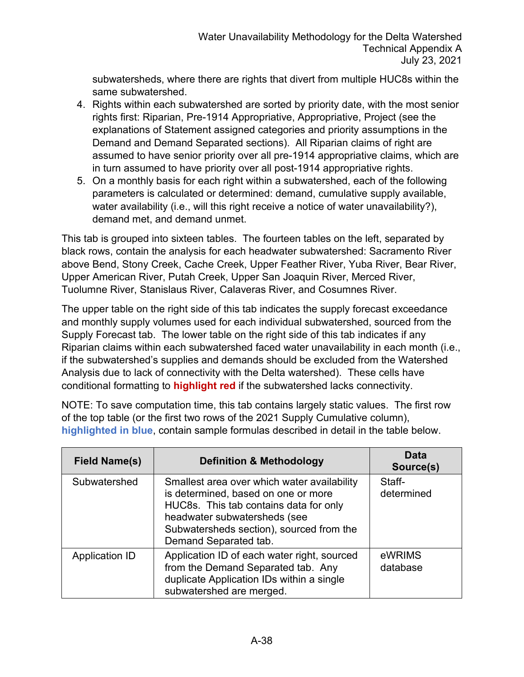subwatersheds, where there are rights that divert from multiple HUC8s within the same subwatershed.

- 4. Rights within each subwatershed are sorted by priority date, with the most senior rights first: Riparian, Pre-1914 Appropriative, Appropriative, Project (see the explanations of Statement assigned categories and priority assumptions in the Demand and Demand Separated sections). All Riparian claims of right are assumed to have senior priority over all pre-1914 appropriative claims, which are in turn assumed to have priority over all post-1914 appropriative rights.
- 5. On a monthly basis for each right within a subwatershed, each of the following parameters is calculated or determined: demand, cumulative supply available, water availability (i.e., will this right receive a notice of water unavailability?), demand met, and demand unmet.

This tab is grouped into sixteen tables. The fourteen tables on the left, separated by black rows, contain the analysis for each headwater subwatershed: Sacramento River above Bend, Stony Creek, Cache Creek, Upper Feather River, Yuba River, Bear River, Upper American River, Putah Creek, Upper San Joaquin River, Merced River, Tuolumne River, Stanislaus River, Calaveras River, and Cosumnes River.

The upper table on the right side of this tab indicates the supply forecast exceedance and monthly supply volumes used for each individual subwatershed, sourced from the Supply Forecast tab. The lower table on the right side of this tab indicates if any Riparian claims within each subwatershed faced water unavailability in each month (i.e., if the subwatershed's supplies and demands should be excluded from the Watershed Analysis due to lack of connectivity with the Delta watershed). These cells have conditional formatting to **highlight red** if the subwatershed lacks connectivity.

NOTE: To save computation time, this tab contains largely static values. The first row of the top table (or the first two rows of the 2021 Supply Cumulative column), **highlighted in blue**, contain sample formulas described in detail in the table below.

| <b>Field Name(s)</b> | <b>Definition &amp; Methodology</b>                                                                                                                                                                                               | Data<br>Source(s)    |
|----------------------|-----------------------------------------------------------------------------------------------------------------------------------------------------------------------------------------------------------------------------------|----------------------|
| Subwatershed         | Smallest area over which water availability<br>is determined, based on one or more<br>HUC8s. This tab contains data for only<br>headwater subwatersheds (see<br>Subwatersheds section), sourced from the<br>Demand Separated tab. | Staff-<br>determined |
| Application ID       | Application ID of each water right, sourced<br>from the Demand Separated tab. Any<br>duplicate Application IDs within a single<br>subwatershed are merged.                                                                        | eWRIMS<br>database   |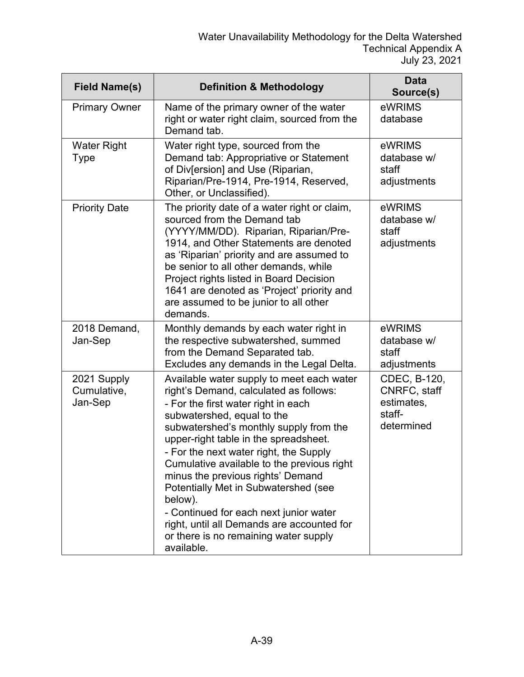| <b>Field Name(s)</b>                  | <b>Definition &amp; Methodology</b>                                                                                                                                                                                                                                                                                                                                                                                                                                                                                                                                        | <b>Data</b><br>Source(s)                                           |
|---------------------------------------|----------------------------------------------------------------------------------------------------------------------------------------------------------------------------------------------------------------------------------------------------------------------------------------------------------------------------------------------------------------------------------------------------------------------------------------------------------------------------------------------------------------------------------------------------------------------------|--------------------------------------------------------------------|
| <b>Primary Owner</b>                  | Name of the primary owner of the water<br>right or water right claim, sourced from the<br>Demand tab.                                                                                                                                                                                                                                                                                                                                                                                                                                                                      | eWRIMS<br>database                                                 |
| <b>Water Right</b><br>Type            | Water right type, sourced from the<br>Demand tab: Appropriative or Statement<br>of Div[ersion] and Use (Riparian,<br>Riparian/Pre-1914, Pre-1914, Reserved,<br>Other, or Unclassified).                                                                                                                                                                                                                                                                                                                                                                                    | eWRIMS<br>database w/<br>staff<br>adjustments                      |
| <b>Priority Date</b>                  | The priority date of a water right or claim,<br>sourced from the Demand tab<br>(YYYY/MM/DD). Riparian, Riparian/Pre-<br>1914, and Other Statements are denoted<br>as 'Riparian' priority and are assumed to<br>be senior to all other demands, while<br>Project rights listed in Board Decision<br>1641 are denoted as 'Project' priority and<br>are assumed to be junior to all other<br>demands.                                                                                                                                                                         | eWRIMS<br>database w/<br>staff<br>adjustments                      |
| 2018 Demand,<br>Jan-Sep               | Monthly demands by each water right in<br>the respective subwatershed, summed<br>from the Demand Separated tab.<br>Excludes any demands in the Legal Delta.                                                                                                                                                                                                                                                                                                                                                                                                                | eWRIMS<br>database w/<br>staff<br>adjustments                      |
| 2021 Supply<br>Cumulative,<br>Jan-Sep | Available water supply to meet each water<br>right's Demand, calculated as follows:<br>- For the first water right in each<br>subwatershed, equal to the<br>subwatershed's monthly supply from the<br>upper-right table in the spreadsheet.<br>- For the next water right, the Supply<br>Cumulative available to the previous right<br>minus the previous rights' Demand<br>Potentially Met in Subwatershed (see<br>below).<br>- Continued for each next junior water<br>right, until all Demands are accounted for<br>or there is no remaining water supply<br>available. | CDEC, B-120,<br>CNRFC, staff<br>estimates,<br>staff-<br>determined |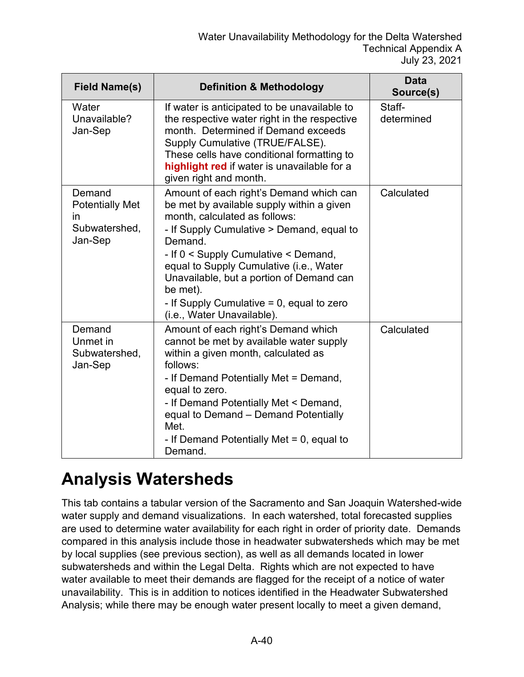| <b>Field Name(s)</b>                                                      | <b>Definition &amp; Methodology</b>                                                                                                                                                                                                                                                                                                                                                                    | <b>Data</b><br>Source(s) |
|---------------------------------------------------------------------------|--------------------------------------------------------------------------------------------------------------------------------------------------------------------------------------------------------------------------------------------------------------------------------------------------------------------------------------------------------------------------------------------------------|--------------------------|
| Water<br>Unavailable?<br>Jan-Sep                                          | If water is anticipated to be unavailable to<br>the respective water right in the respective<br>month. Determined if Demand exceeds<br>Supply Cumulative (TRUE/FALSE).<br>These cells have conditional formatting to<br>highlight red if water is unavailable for a<br>given right and month.                                                                                                          | Staff-<br>determined     |
| Demand<br><b>Potentially Met</b><br><i>in</i><br>Subwatershed,<br>Jan-Sep | Amount of each right's Demand which can<br>be met by available supply within a given<br>month, calculated as follows:<br>- If Supply Cumulative > Demand, equal to<br>Demand.<br>- If 0 < Supply Cumulative < Demand,<br>equal to Supply Cumulative (i.e., Water<br>Unavailable, but a portion of Demand can<br>be met).<br>- If Supply Cumulative $= 0$ , equal to zero<br>(i.e., Water Unavailable). | Calculated               |
| Demand<br>Unmet in<br>Subwatershed,<br>Jan-Sep                            | Amount of each right's Demand which<br>cannot be met by available water supply<br>within a given month, calculated as<br>follows:<br>- If Demand Potentially Met = Demand,<br>equal to zero.<br>- If Demand Potentially Met < Demand,<br>equal to Demand - Demand Potentially<br>Met.<br>- If Demand Potentially Met $= 0$ , equal to<br>Demand.                                                       | Calculated               |

#### **Analysis Watersheds**

This tab contains a tabular version of the Sacramento and San Joaquin Watershed-wide water supply and demand visualizations. In each watershed, total forecasted supplies are used to determine water availability for each right in order of priority date. Demands compared in this analysis include those in headwater subwatersheds which may be met by local supplies (see previous section), as well as all demands located in lower subwatersheds and within the Legal Delta. Rights which are not expected to have water available to meet their demands are flagged for the receipt of a notice of water unavailability. This is in addition to notices identified in the Headwater Subwatershed Analysis; while there may be enough water present locally to meet a given demand,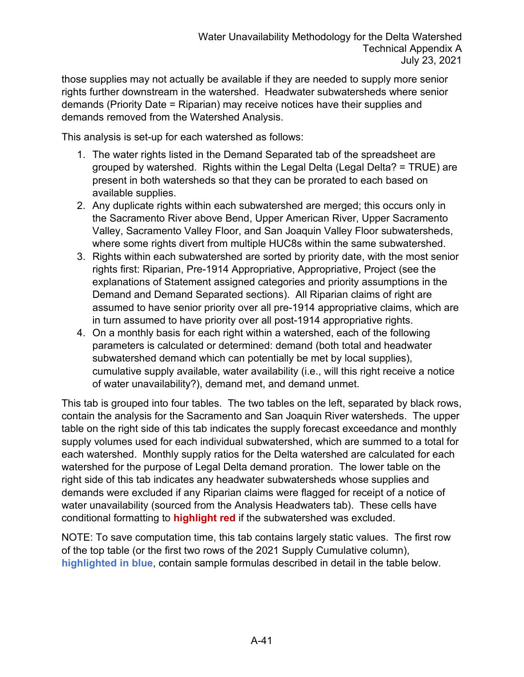those supplies may not actually be available if they are needed to supply more senior rights further downstream in the watershed. Headwater subwatersheds where senior demands (Priority Date = Riparian) may receive notices have their supplies and demands removed from the Watershed Analysis.

This analysis is set-up for each watershed as follows:

- 1. The water rights listed in the Demand Separated tab of the spreadsheet are grouped by watershed. Rights within the Legal Delta (Legal Delta? = TRUE) are present in both watersheds so that they can be prorated to each based on available supplies.
- 2. Any duplicate rights within each subwatershed are merged; this occurs only in the Sacramento River above Bend, Upper American River, Upper Sacramento Valley, Sacramento Valley Floor, and San Joaquin Valley Floor subwatersheds, where some rights divert from multiple HUC8s within the same subwatershed.
- 3. Rights within each subwatershed are sorted by priority date, with the most senior rights first: Riparian, Pre-1914 Appropriative, Appropriative, Project (see the explanations of Statement assigned categories and priority assumptions in the Demand and Demand Separated sections). All Riparian claims of right are assumed to have senior priority over all pre-1914 appropriative claims, which are in turn assumed to have priority over all post-1914 appropriative rights.
- 4. On a monthly basis for each right within a watershed, each of the following parameters is calculated or determined: demand (both total and headwater subwatershed demand which can potentially be met by local supplies), cumulative supply available, water availability (i.e., will this right receive a notice of water unavailability?), demand met, and demand unmet.

This tab is grouped into four tables. The two tables on the left, separated by black rows, contain the analysis for the Sacramento and San Joaquin River watersheds. The upper table on the right side of this tab indicates the supply forecast exceedance and monthly supply volumes used for each individual subwatershed, which are summed to a total for each watershed. Monthly supply ratios for the Delta watershed are calculated for each watershed for the purpose of Legal Delta demand proration. The lower table on the right side of this tab indicates any headwater subwatersheds whose supplies and demands were excluded if any Riparian claims were flagged for receipt of a notice of water unavailability (sourced from the Analysis Headwaters tab). These cells have conditional formatting to **highlight red** if the subwatershed was excluded.

NOTE: To save computation time, this tab contains largely static values. The first row of the top table (or the first two rows of the 2021 Supply Cumulative column), **highlighted in blue**, contain sample formulas described in detail in the table below.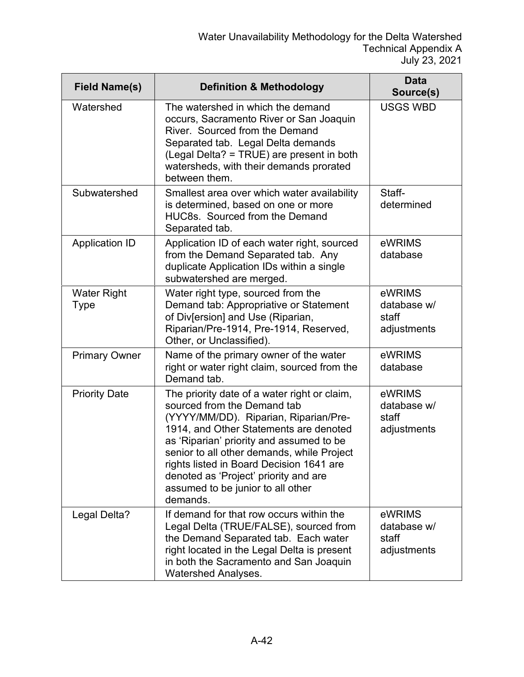| <b>Field Name(s)</b>       | <b>Definition &amp; Methodology</b>                                                                                                                                                                                                                                                                                                                                                            | <b>Data</b><br>Source(s)                      |
|----------------------------|------------------------------------------------------------------------------------------------------------------------------------------------------------------------------------------------------------------------------------------------------------------------------------------------------------------------------------------------------------------------------------------------|-----------------------------------------------|
| Watershed                  | The watershed in which the demand<br>occurs, Sacramento River or San Joaquin<br>River. Sourced from the Demand<br>Separated tab. Legal Delta demands<br>(Legal Delta? = TRUE) are present in both<br>watersheds, with their demands prorated<br>between them.                                                                                                                                  | <b>USGS WBD</b>                               |
| Subwatershed               | Smallest area over which water availability<br>is determined, based on one or more<br>HUC8s. Sourced from the Demand<br>Separated tab.                                                                                                                                                                                                                                                         | Staff-<br>determined                          |
| <b>Application ID</b>      | Application ID of each water right, sourced<br>from the Demand Separated tab. Any<br>duplicate Application IDs within a single<br>subwatershed are merged.                                                                                                                                                                                                                                     | eWRIMS<br>database                            |
| <b>Water Right</b><br>Type | Water right type, sourced from the<br>Demand tab: Appropriative or Statement<br>of Div[ersion] and Use (Riparian,<br>Riparian/Pre-1914, Pre-1914, Reserved,<br>Other, or Unclassified).                                                                                                                                                                                                        | eWRIMS<br>database w/<br>staff<br>adjustments |
| <b>Primary Owner</b>       | Name of the primary owner of the water<br>right or water right claim, sourced from the<br>Demand tab.                                                                                                                                                                                                                                                                                          | eWRIMS<br>database                            |
| <b>Priority Date</b>       | The priority date of a water right or claim,<br>sourced from the Demand tab<br>(YYYY/MM/DD). Riparian, Riparian/Pre-<br>1914, and Other Statements are denoted<br>as 'Riparian' priority and assumed to be<br>senior to all other demands, while Project<br>rights listed in Board Decision 1641 are<br>denoted as 'Project' priority and are<br>assumed to be junior to all other<br>demands. | eWRIMS<br>database w/<br>staff<br>adjustments |
| Legal Delta?               | If demand for that row occurs within the<br>Legal Delta (TRUE/FALSE), sourced from<br>the Demand Separated tab. Each water<br>right located in the Legal Delta is present<br>in both the Sacramento and San Joaquin<br><b>Watershed Analyses.</b>                                                                                                                                              | eWRIMS<br>database w/<br>staff<br>adjustments |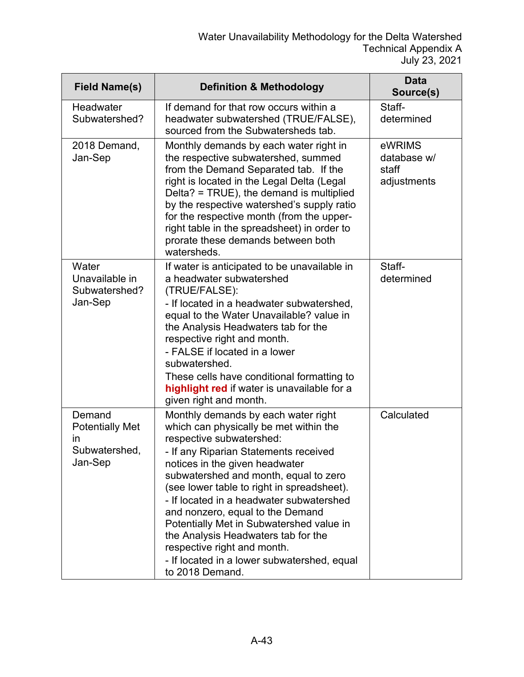| <b>Field Name(s)</b>                                                      | <b>Definition &amp; Methodology</b>                                                                                                                                                                                                                                                                                                                                                                                                                                                                                                             | <b>Data</b><br>Source(s)                      |
|---------------------------------------------------------------------------|-------------------------------------------------------------------------------------------------------------------------------------------------------------------------------------------------------------------------------------------------------------------------------------------------------------------------------------------------------------------------------------------------------------------------------------------------------------------------------------------------------------------------------------------------|-----------------------------------------------|
| Headwater<br>Subwatershed?                                                | If demand for that row occurs within a<br>headwater subwatershed (TRUE/FALSE),<br>sourced from the Subwatersheds tab.                                                                                                                                                                                                                                                                                                                                                                                                                           | Staff-<br>determined                          |
| 2018 Demand,<br>Jan-Sep                                                   | Monthly demands by each water right in<br>the respective subwatershed, summed<br>from the Demand Separated tab. If the<br>right is located in the Legal Delta (Legal<br>Delta? = TRUE), the demand is multiplied<br>by the respective watershed's supply ratio<br>for the respective month (from the upper-<br>right table in the spreadsheet) in order to<br>prorate these demands between both<br>watersheds.                                                                                                                                 | eWRIMS<br>database w/<br>staff<br>adjustments |
| Water<br>Unavailable in<br>Subwatershed?<br>Jan-Sep                       | If water is anticipated to be unavailable in<br>a headwater subwatershed<br>(TRUE/FALSE):<br>- If located in a headwater subwatershed,<br>equal to the Water Unavailable? value in<br>the Analysis Headwaters tab for the<br>respective right and month.<br>- FALSE if located in a lower<br>subwatershed.<br>These cells have conditional formatting to<br>highlight red if water is unavailable for a<br>given right and month.                                                                                                               | Staff-<br>determined                          |
| Demand<br><b>Potentially Met</b><br><i>in</i><br>Subwatershed,<br>Jan-Sep | Monthly demands by each water right<br>which can physically be met within the<br>respective subwatershed:<br>- If any Riparian Statements received<br>notices in the given headwater<br>subwatershed and month, equal to zero<br>(see lower table to right in spreadsheet).<br>- If located in a headwater subwatershed<br>and nonzero, equal to the Demand<br>Potentially Met in Subwatershed value in<br>the Analysis Headwaters tab for the<br>respective right and month.<br>- If located in a lower subwatershed, equal<br>to 2018 Demand. | Calculated                                    |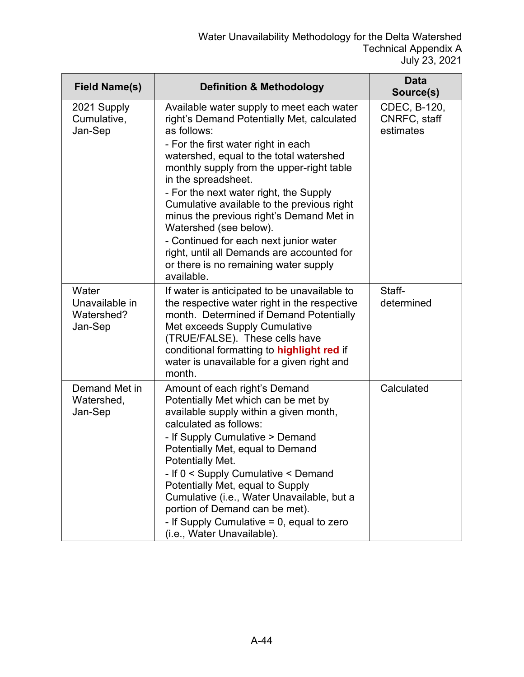| <b>Field Name(s)</b>                             | <b>Definition &amp; Methodology</b>                                                                                                                                                                                                                                                                                                                                                                                                                                                                                                                                       | <b>Data</b><br>Source(s)                  |
|--------------------------------------------------|---------------------------------------------------------------------------------------------------------------------------------------------------------------------------------------------------------------------------------------------------------------------------------------------------------------------------------------------------------------------------------------------------------------------------------------------------------------------------------------------------------------------------------------------------------------------------|-------------------------------------------|
| 2021 Supply<br>Cumulative,<br>Jan-Sep            | Available water supply to meet each water<br>right's Demand Potentially Met, calculated<br>as follows:<br>- For the first water right in each<br>watershed, equal to the total watershed<br>monthly supply from the upper-right table<br>in the spreadsheet.<br>- For the next water right, the Supply<br>Cumulative available to the previous right<br>minus the previous right's Demand Met in<br>Watershed (see below).<br>- Continued for each next junior water<br>right, until all Demands are accounted for<br>or there is no remaining water supply<br>available. | CDEC, B-120,<br>CNRFC, staff<br>estimates |
| Water<br>Unavailable in<br>Watershed?<br>Jan-Sep | If water is anticipated to be unavailable to<br>the respective water right in the respective<br>month. Determined if Demand Potentially<br>Met exceeds Supply Cumulative<br>(TRUE/FALSE). These cells have<br>conditional formatting to highlight red if<br>water is unavailable for a given right and<br>month.                                                                                                                                                                                                                                                          | Staff-<br>determined                      |
| Demand Met in<br>Watershed,<br>Jan-Sep           | Amount of each right's Demand<br>Potentially Met which can be met by<br>available supply within a given month,<br>calculated as follows:<br>- If Supply Cumulative > Demand<br>Potentially Met, equal to Demand<br>Potentially Met.<br>- If 0 < Supply Cumulative < Demand<br>Potentially Met, equal to Supply<br>Cumulative (i.e., Water Unavailable, but a<br>portion of Demand can be met).<br>- If Supply Cumulative $= 0$ , equal to zero<br>(i.e., Water Unavailable).                                                                                              | Calculated                                |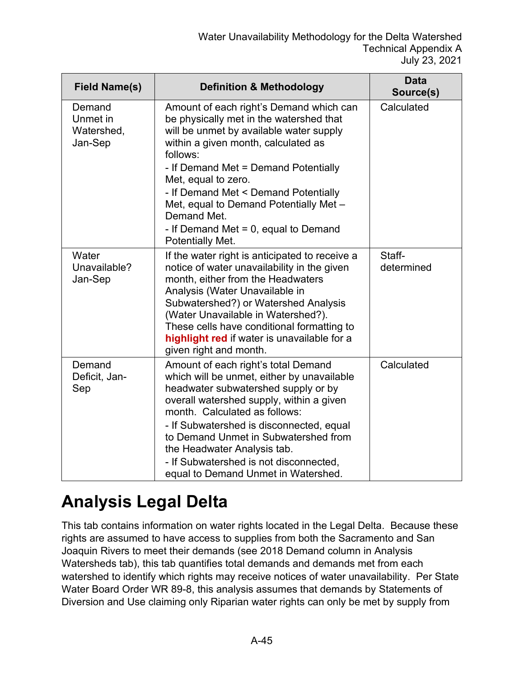| <b>Field Name(s)</b>                        | <b>Definition &amp; Methodology</b>                                                                                                                                                                                                                                                                                                                                                                             | <b>Data</b><br>Source(s) |
|---------------------------------------------|-----------------------------------------------------------------------------------------------------------------------------------------------------------------------------------------------------------------------------------------------------------------------------------------------------------------------------------------------------------------------------------------------------------------|--------------------------|
| Demand<br>Unmet in<br>Watershed,<br>Jan-Sep | Amount of each right's Demand which can<br>be physically met in the watershed that<br>will be unmet by available water supply<br>within a given month, calculated as<br>follows:<br>- If Demand Met = Demand Potentially<br>Met, equal to zero.<br>- If Demand Met < Demand Potentially<br>Met, equal to Demand Potentially Met -<br>Demand Met.<br>- If Demand Met $= 0$ , equal to Demand<br>Potentially Met. | Calculated               |
| Water<br>Unavailable?<br>Jan-Sep            | If the water right is anticipated to receive a<br>notice of water unavailability in the given<br>month, either from the Headwaters<br>Analysis (Water Unavailable in<br>Subwatershed?) or Watershed Analysis<br>(Water Unavailable in Watershed?).<br>These cells have conditional formatting to<br>highlight red if water is unavailable for a<br>given right and month.                                       | Staff-<br>determined     |
| Demand<br>Deficit, Jan-<br>Sep              | Amount of each right's total Demand<br>which will be unmet, either by unavailable<br>headwater subwatershed supply or by<br>overall watershed supply, within a given<br>month. Calculated as follows:<br>- If Subwatershed is disconnected, equal<br>to Demand Unmet in Subwatershed from<br>the Headwater Analysis tab.<br>- If Subwatershed is not disconnected,<br>equal to Demand Unmet in Watershed.       | Calculated               |

### **Analysis Legal Delta**

This tab contains information on water rights located in the Legal Delta. Because these rights are assumed to have access to supplies from both the Sacramento and San Joaquin Rivers to meet their demands (see 2018 Demand column in Analysis Watersheds tab), this tab quantifies total demands and demands met from each watershed to identify which rights may receive notices of water unavailability. Per State Water Board Order WR 89-8, this analysis assumes that demands by Statements of Diversion and Use claiming only Riparian water rights can only be met by supply from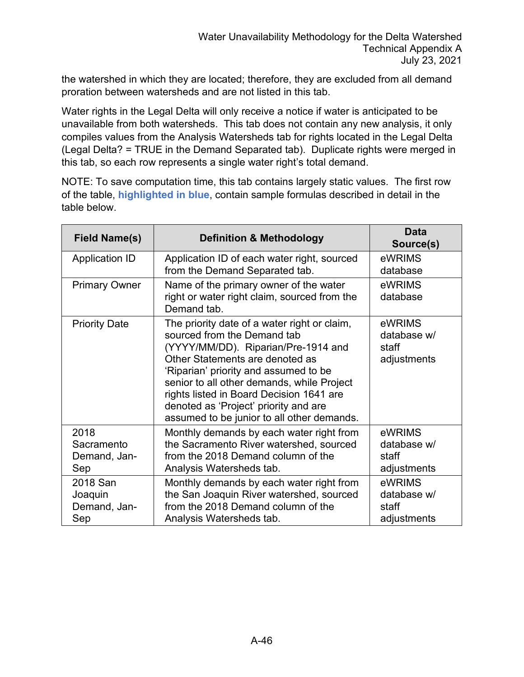the watershed in which they are located; therefore, they are excluded from all demand proration between watersheds and are not listed in this tab.

Water rights in the Legal Delta will only receive a notice if water is anticipated to be unavailable from both watersheds. This tab does not contain any new analysis, it only compiles values from the Analysis Watersheds tab for rights located in the Legal Delta (Legal Delta? = TRUE in the Demand Separated tab). Duplicate rights were merged in this tab, so each row represents a single water right's total demand.

NOTE: To save computation time, this tab contains largely static values. The first row of the table, **highlighted in blue**, contain sample formulas described in detail in the table below.

| <b>Field Name(s)</b>                       | <b>Definition &amp; Methodology</b>                                                                                                                                                                                                                                                                                                                                             | <b>Data</b><br>Source(s)                      |
|--------------------------------------------|---------------------------------------------------------------------------------------------------------------------------------------------------------------------------------------------------------------------------------------------------------------------------------------------------------------------------------------------------------------------------------|-----------------------------------------------|
| <b>Application ID</b>                      | Application ID of each water right, sourced<br>from the Demand Separated tab.                                                                                                                                                                                                                                                                                                   | eWRIMS<br>database                            |
| <b>Primary Owner</b>                       | Name of the primary owner of the water<br>right or water right claim, sourced from the<br>Demand tab.                                                                                                                                                                                                                                                                           | eWRIMS<br>database                            |
| <b>Priority Date</b>                       | The priority date of a water right or claim,<br>sourced from the Demand tab<br>(YYYY/MM/DD). Riparian/Pre-1914 and<br>Other Statements are denoted as<br>'Riparian' priority and assumed to be<br>senior to all other demands, while Project<br>rights listed in Board Decision 1641 are<br>denoted as 'Project' priority and are<br>assumed to be junior to all other demands. | eWRIMS<br>database w/<br>staff<br>adjustments |
| 2018<br>Sacramento<br>Demand, Jan-<br>Sep  | Monthly demands by each water right from<br>the Sacramento River watershed, sourced<br>from the 2018 Demand column of the<br>Analysis Watersheds tab.                                                                                                                                                                                                                           | eWRIMS<br>database w/<br>staff<br>adjustments |
| 2018 San<br>Joaquin<br>Demand, Jan-<br>Sep | Monthly demands by each water right from<br>the San Joaquin River watershed, sourced<br>from the 2018 Demand column of the<br>Analysis Watersheds tab.                                                                                                                                                                                                                          | eWRIMS<br>database w/<br>staff<br>adjustments |